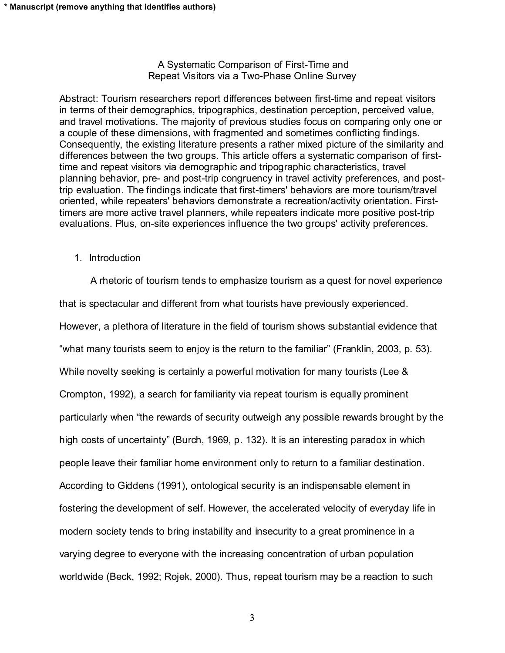# A Systematic Comparison of First-Time and Repeat Visitors via a Two-Phase Online Survey

Abstract: Tourism researchers report differences between first-time and repeat visitors in terms of their demographics, tripographics, destination perception, perceived value, and travel motivations. The majority of previous studies focus on comparing only one or a couple of these dimensions, with fragmented and sometimes conflicting findings. Consequently, the existing literature presents a rather mixed picture of the similarity and differences between the two groups. This article offers a systematic comparison of firsttime and repeat visitors via demographic and tripographic characteristics, travel planning behavior, pre- and post-trip congruency in travel activity preferences, and posttrip evaluation. The findings indicate that first-timers' behaviors are more tourism/travel oriented, while repeaters' behaviors demonstrate a recreation/activity orientation. Firsttimers are more active travel planners, while repeaters indicate more positive post-trip evaluations. Plus, on-site experiences influence the two groups' activity preferences.

1. Introduction

A rhetoric of tourism tends to emphasize tourism as a quest for novel experience that is spectacular and different from what tourists have previously experienced. However, a plethora of literature in the field of tourism shows substantial evidence that "what many tourists seem to enjoy is the return to the familiar" (Franklin, 2003, p. 53). While novelty seeking is certainly a powerful motivation for many tourists (Lee & Crompton, 1992), a search for familiarity via repeat tourism is equally prominent particularly when the rewards of security outweigh any possible rewards brought by the high costs of uncertainty" (Burch, 1969, p. 132). It is an interesting paradox in which people leave their familiar home environment only to return to a familiar destination. According to Giddens (1991), ontological security is an indispensable element in fostering the development of self. However, the accelerated velocity of everyday life in modern society tends to bring instability and insecurity to a great prominence in a varying degree to everyone with the increasing concentration of urban population worldwide (Beck, 1992; Rojek, 2000). Thus, repeat tourism may be a reaction to such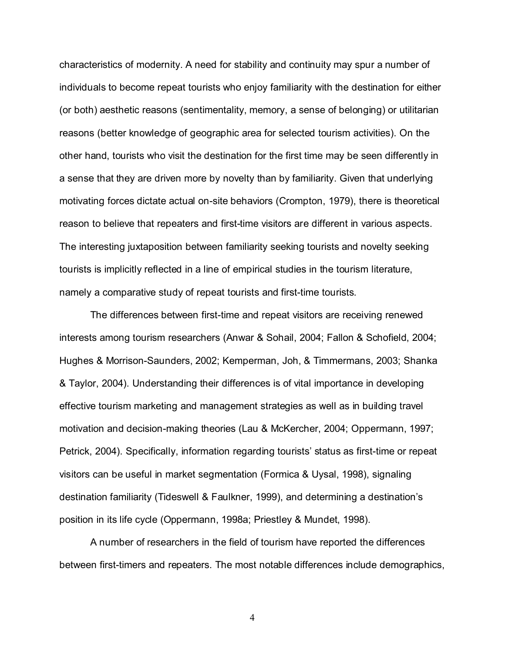characteristics of modernity. A need for stability and continuity may spur a number of individuals to become repeat tourists who enjoy familiarity with the destination for either (or both) aesthetic reasons (sentimentality, memory, a sense of belonging) or utilitarian reasons (better knowledge of geographic area for selected tourism activities). On the other hand, tourists who visit the destination for the first time may be seen differently in a sense that they are driven more by novelty than by familiarity. Given that underlying motivating forces dictate actual on-site behaviors (Crompton, 1979), there is theoretical reason to believe that repeaters and first-time visitors are different in various aspects. The interesting juxtaposition between familiarity seeking tourists and novelty seeking tourists is implicitly reflected in a line of empirical studies in the tourism literature, namely a comparative study of repeat tourists and first-time tourists.

The differences between first-time and repeat visitors are receiving renewed interests among tourism researchers (Anwar & Sohail, 2004; Fallon & Schofield, 2004; Hughes & Morrison-Saunders, 2002; Kemperman, Joh, & Timmermans, 2003; Shanka & Taylor, 2004). Understanding their differences is of vital importance in developing effective tourism marketing and management strategies as well as in building travel motivation and decision-making theories (Lau & McKercher, 2004; Oppermann, 1997; Petrick, 2004). Specifically, information regarding tourists' status as first-time or repeat visitors can be useful in market segmentation (Formica & Uysal, 1998), signaling destination familiarity (Tideswell & Faulkner, 1999), and determining a destination's position in its life cycle (Oppermann, 1998a; Priestley & Mundet, 1998).

A number of researchers in the field of tourism have reported the differences between first-timers and repeaters. The most notable differences include demographics,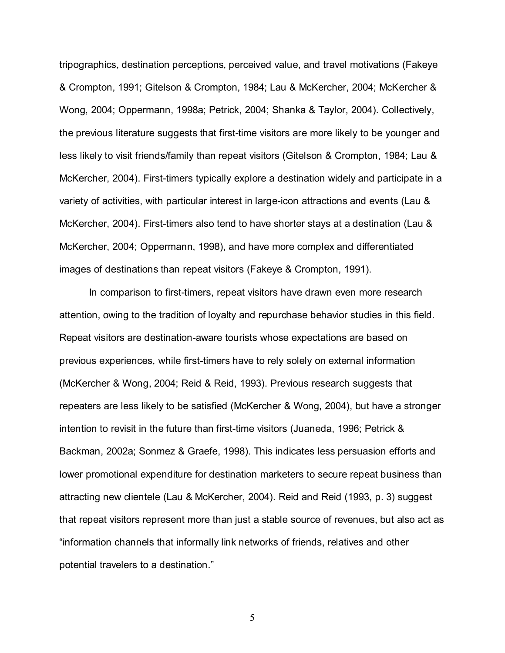tripographics, destination perceptions, perceived value, and travel motivations (Fakeye & Crompton, 1991; Gitelson & Crompton, 1984; Lau & McKercher, 2004; McKercher & Wong, 2004; Oppermann, 1998a; Petrick, 2004; Shanka & Taylor, 2004). Collectively, the previous literature suggests that first-time visitors are more likely to be younger and less likely to visit friends/family than repeat visitors (Gitelson & Crompton, 1984; Lau & McKercher, 2004). First-timers typically explore a destination widely and participate in a variety of activities, with particular interest in large-icon attractions and events (Lau & McKercher, 2004). First-timers also tend to have shorter stays at a destination (Lau & McKercher, 2004; Oppermann, 1998), and have more complex and differentiated images of destinations than repeat visitors (Fakeye & Crompton, 1991).

In comparison to first-timers, repeat visitors have drawn even more research attention, owing to the tradition of loyalty and repurchase behavior studies in this field. Repeat visitors are destination-aware tourists whose expectations are based on previous experiences, while first-timers have to rely solely on external information (McKercher & Wong, 2004; Reid & Reid, 1993). Previous research suggests that repeaters are less likely to be satisfied (McKercher & Wong, 2004), but have a stronger intention to revisit in the future than first-time visitors (Juaneda, 1996; Petrick & Backman, 2002a; Sonmez & Graefe, 1998). This indicates less persuasion efforts and lower promotional expenditure for destination marketers to secure repeat business than attracting new clientele (Lau & McKercher, 2004). Reid and Reid (1993, p. 3) suggest that repeat visitors represent more than just a stable source of revenues, but also act as information channels that informally link networks of friends, relatives and other potential travelers to a destination.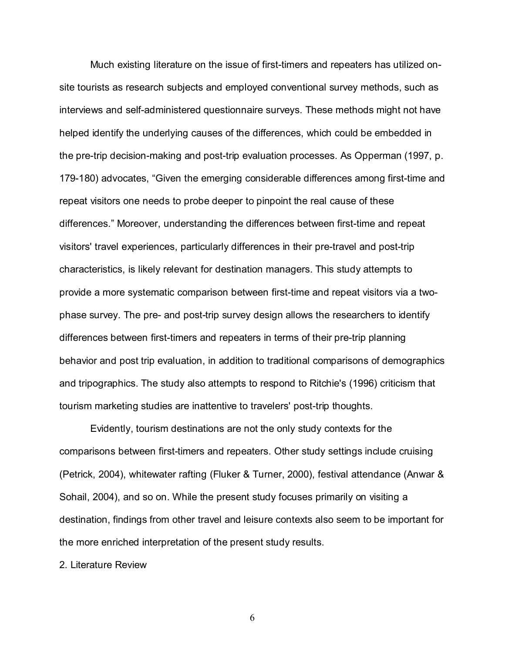Much existing literature on the issue of first-timers and repeaters has utilized onsite tourists as research subjects and employed conventional survey methods, such as interviews and self-administered questionnaire surveys. These methods might not have helped identify the underlying causes of the differences, which could be embedded in the pre-trip decision-making and post-trip evaluation processes. As Opperman (1997, p. 179-180) advocates, "Given the emerging considerable differences among first-time and repeat visitors one needs to probe deeper to pinpoint the real cause of these differences. Moreover, understanding the differences between first-time and repeat visitors' travel experiences, particularly differences in their pre-travel and post-trip characteristics, is likely relevant for destination managers. This study attempts to provide a more systematic comparison between first-time and repeat visitors via a twophase survey. The pre- and post-trip survey design allows the researchers to identify differences between first-timers and repeaters in terms of their pre-trip planning behavior and post trip evaluation, in addition to traditional comparisons of demographics and tripographics. The study also attempts to respond to Ritchie's (1996) criticism that tourism marketing studies are inattentive to travelers' post-trip thoughts.

Evidently, tourism destinations are not the only study contexts for the comparisons between first-timers and repeaters. Other study settings include cruising (Petrick, 2004), whitewater rafting (Fluker & Turner, 2000), festival attendance (Anwar & Sohail, 2004), and so on. While the present study focuses primarily on visiting a destination, findings from other travel and leisure contexts also seem to be important for the more enriched interpretation of the present study results.

2. Literature Review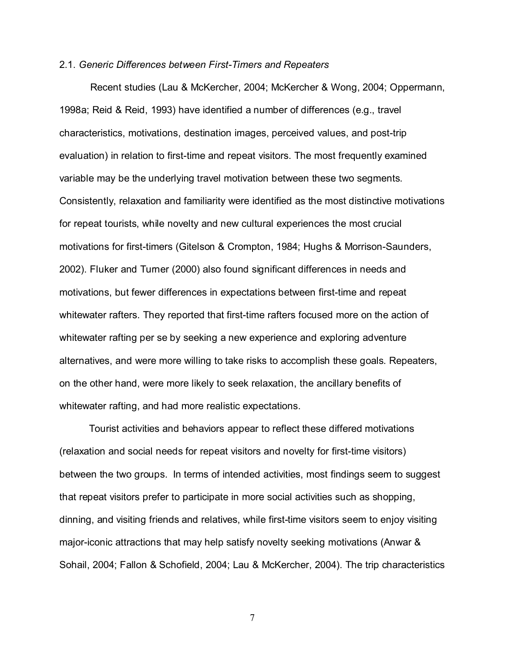#### 2.1. Generic Differences between First-Timers and Repeaters

Recent studies (Lau & McKercher, 2004; McKercher & Wong, 2004; Oppermann, 1998a; Reid & Reid, 1993) have identified a number of differences (e.g., travel characteristics, motivations, destination images, perceived values, and post-trip evaluation) in relation to first-time and repeat visitors. The most frequently examined variable may be the underlying travel motivation between these two segments. Consistently, relaxation and familiarity were identified as the most distinctive motivations for repeat tourists, while novelty and new cultural experiences the most crucial motivations for first-timers (Gitelson & Crompton, 1984; Hughs & Morrison-Saunders, 2002). Fluker and Turner (2000) also found significant differences in needs and motivations, but fewer differences in expectations between first-time and repeat whitewater rafters. They reported that first-time rafters focused more on the action of whitewater rafting per se by seeking a new experience and exploring adventure alternatives, and were more willing to take risks to accomplish these goals. Repeaters, on the other hand, were more likely to seek relaxation, the ancillary benefits of whitewater rafting, and had more realistic expectations.

Tourist activities and behaviors appear to reflect these differed motivations (relaxation and social needs for repeat visitors and novelty for first-time visitors) between the two groups. In terms of intended activities, most findings seem to suggest that repeat visitors prefer to participate in more social activities such as shopping, dinning, and visiting friends and relatives, while first-time visitors seem to enjoy visiting major-iconic attractions that may help satisfy novelty seeking motivations (Anwar & Sohail, 2004; Fallon & Schofield, 2004; Lau & McKercher, 2004). The trip characteristics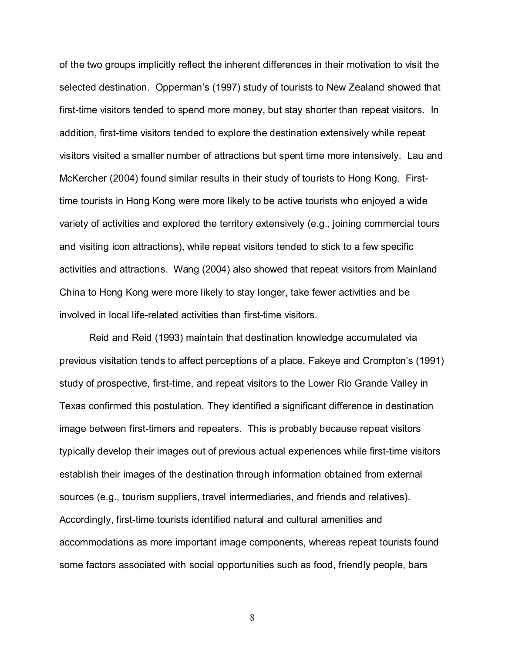of the two groups implicitly reflect the inherent differences in their motivation to visit the selected destination. Opperman's (1997) study of tourists to New Zealand showed that first-time visitors tended to spend more money, but stay shorter than repeat visitors. In addition, first-time visitors tended to explore the destination extensively while repeat visitors visited a smaller number of attractions but spent time more intensively. Lau and McKercher (2004) found similar results in their study of tourists to Hong Kong. Firsttime tourists in Hong Kong were more likely to be active tourists who enjoyed a wide variety of activities and explored the territory extensively (e.g., joining commercial tours and visiting icon attractions), while repeat visitors tended to stick to a few specific activities and attractions. Wang (2004) also showed that repeat visitors from Mainland China to Hong Kong were more likely to stay longer, take fewer activities and be involved in local life-related activities than first-time visitors.

Reid and Reid (1993) maintain that destination knowledge accumulated via previous visitation tends to affect perceptions of a place. Fakeye and Crompton's (1991) study of prospective, first-time, and repeat visitors to the Lower Rio Grande Valley in Texas confirmed this postulation. They identified a significant difference in destination image between first-timers and repeaters. This is probably because repeat visitors typically develop their images out of previous actual experiences while first-time visitors establish their images of the destination through information obtained from external sources (e.g., tourism suppliers, travel intermediaries, and friends and relatives). Accordingly, first-time tourists identified natural and cultural amenities and accommodations as more important image components, whereas repeat tourists found some factors associated with social opportunities such as food, friendly people, bars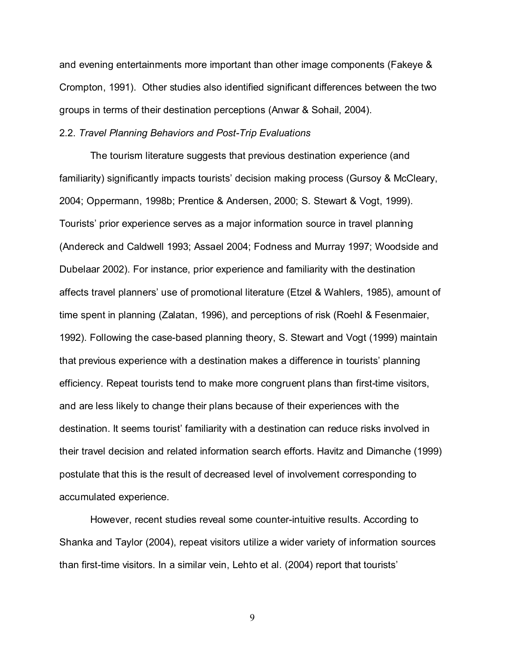and evening entertainments more important than other image components (Fakeye & Crompton, 1991). Other studies also identified significant differences between the two groups in terms of their destination perceptions (Anwar & Sohail, 2004).

#### 2.2. Travel Planning Behaviors and Post-Trip Evaluations

The tourism literature suggests that previous destination experience (and familiarity) significantly impacts tourists' decision making process (Gursoy & McCleary, 2004; Oppermann, 1998b; Prentice & Andersen, 2000; S. Stewart & Vogt, 1999). Tourists' prior experience serves as a major information source in travel planning (Andereck and Caldwell 1993; Assael 2004; Fodness and Murray 1997; Woodside and Dubelaar 2002). For instance, prior experience and familiarity with the destination affects travel planners' use of promotional literature (Etzel & Wahlers, 1985), amount of time spent in planning (Zalatan, 1996), and perceptions of risk (Roehl & Fesenmaier, 1992). Following the case-based planning theory, S. Stewart and Vogt (1999) maintain that previous experience with a destination makes a difference in tourists' planning efficiency. Repeat tourists tend to make more congruent plans than first-time visitors, and are less likely to change their plans because of their experiences with the destination. It seems tourist' familiarity with a destination can reduce risks involved in their travel decision and related information search efforts. Havitz and Dimanche (1999) postulate that this is the result of decreased level of involvement corresponding to accumulated experience.

However, recent studies reveal some counter-intuitive results. According to Shanka and Taylor (2004), repeat visitors utilize a wider variety of information sources than first-time visitors. In a similar vein, Lehto et al. (2004) report that tourists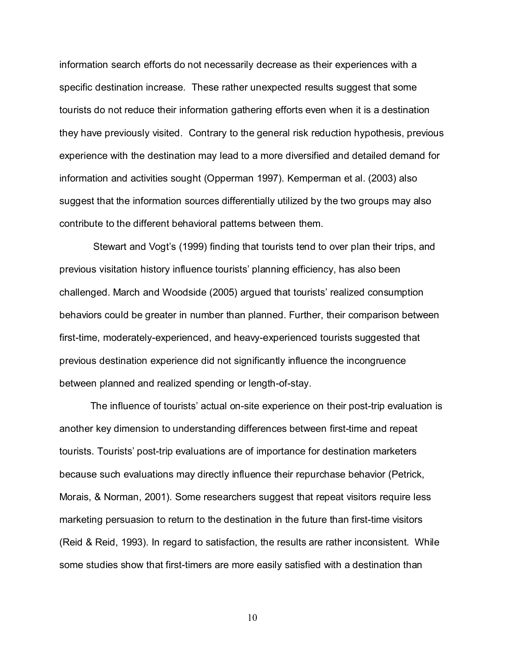information search efforts do not necessarily decrease as their experiences with a specific destination increase. These rather unexpected results suggest that some tourists do not reduce their information gathering efforts even when it is a destination they have previously visited. Contrary to the general risk reduction hypothesis, previous experience with the destination may lead to a more diversified and detailed demand for information and activities sought (Opperman 1997). Kemperman et al. (2003) also suggest that the information sources differentially utilized by the two groups may also contribute to the different behavioral patterns between them.

Stewart and Vogt's (1999) finding that tourists tend to over plan their trips, and previous visitation history influence tourists' planning efficiency, has also been challenged. March and Woodside (2005) argued that tourists realized consumption behaviors could be greater in number than planned. Further, their comparison between first-time, moderately-experienced, and heavy-experienced tourists suggested that previous destination experience did not significantly influence the incongruence between planned and realized spending or length-of-stay.

The influence of tourists' actual on-site experience on their post-trip evaluation is another key dimension to understanding differences between first-time and repeat tourists. Tourists' post-trip evaluations are of importance for destination marketers because such evaluations may directly influence their repurchase behavior (Petrick, Morais, & Norman, 2001). Some researchers suggest that repeat visitors require less marketing persuasion to return to the destination in the future than first-time visitors (Reid & Reid, 1993). In regard to satisfaction, the results are rather inconsistent. While some studies show that first-timers are more easily satisfied with a destination than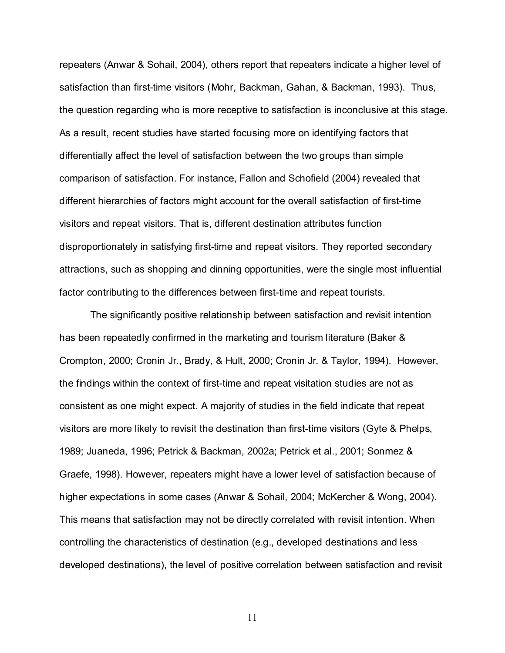repeaters (Anwar & Sohail, 2004), others report that repeaters indicate a higher level of satisfaction than first-time visitors (Mohr, Backman, Gahan, & Backman, 1993). Thus, the question regarding who is more receptive to satisfaction is inconclusive at this stage. As a result, recent studies have started focusing more on identifying factors that differentially affect the level of satisfaction between the two groups than simple comparison of satisfaction. For instance, Fallon and Schofield (2004) revealed that different hierarchies of factors might account for the overall satisfaction of first-time visitors and repeat visitors. That is, different destination attributes function disproportionately in satisfying first-time and repeat visitors. They reported secondary attractions, such as shopping and dinning opportunities, were the single most influential factor contributing to the differences between first-time and repeat tourists.

The significantly positive relationship between satisfaction and revisit intention has been repeatedly confirmed in the marketing and tourism literature (Baker & Crompton, 2000; Cronin Jr., Brady, & Hult, 2000; Cronin Jr. & Taylor, 1994). However, the findings within the context of first-time and repeat visitation studies are not as consistent as one might expect. A majority of studies in the field indicate that repeat visitors are more likely to revisit the destination than first-time visitors (Gyte & Phelps, 1989; Juaneda, 1996; Petrick & Backman, 2002a; Petrick et al., 2001; Sonmez & Graefe, 1998). However, repeaters might have a lower level of satisfaction because of higher expectations in some cases (Anwar & Sohail, 2004; McKercher & Wong, 2004). This means that satisfaction may not be directly correlated with revisit intention. When controlling the characteristics of destination (e.g., developed destinations and less developed destinations), the level of positive correlation between satisfaction and revisit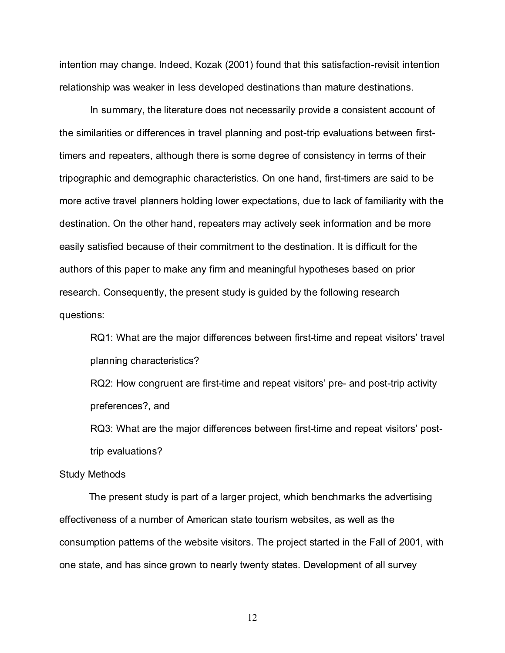intention may change. Indeed, Kozak (2001) found that this satisfaction-revisit intention relationship was weaker in less developed destinations than mature destinations.

In summary, the literature does not necessarily provide a consistent account of the similarities or differences in travel planning and post-trip evaluations between firsttimers and repeaters, although there is some degree of consistency in terms of their tripographic and demographic characteristics. On one hand, first-timers are said to be more active travel planners holding lower expectations, due to lack of familiarity with the destination. On the other hand, repeaters may actively seek information and be more easily satisfied because of their commitment to the destination. It is difficult for the authors of this paper to make any firm and meaningful hypotheses based on prior research. Consequently, the present study is guided by the following research questions:

RQ1: What are the major differences between first-time and repeat visitors' travel planning characteristics?

RQ2: How congruent are first-time and repeat visitors' pre- and post-trip activity preferences?, and

RQ3: What are the major differences between first-time and repeat visitors' posttrip evaluations?

#### Study Methods

The present study is part of a larger project, which benchmarks the advertising effectiveness of a number of American state tourism websites, as well as the consumption patterns of the website visitors. The project started in the Fall of 2001, with one state, and has since grown to nearly twenty states. Development of all survey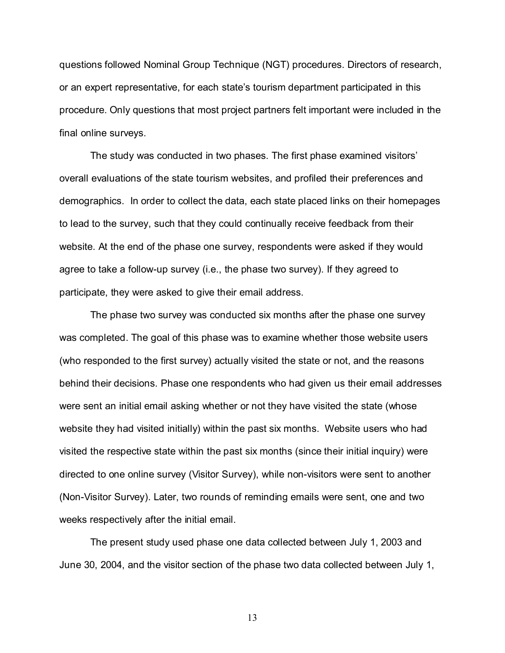questions followed Nominal Group Technique (NGT) procedures. Directors of research, or an expert representative, for each state's tourism department participated in this procedure. Only questions that most project partners felt important were included in the final online surveys.

The study was conducted in two phases. The first phase examined visitors overall evaluations of the state tourism websites, and profiled their preferences and demographics. In order to collect the data, each state placed links on their homepages to lead to the survey, such that they could continually receive feedback from their website. At the end of the phase one survey, respondents were asked if they would agree to take a follow-up survey (i.e., the phase two survey). If they agreed to participate, they were asked to give their email address.

The phase two survey was conducted six months after the phase one survey was completed. The goal of this phase was to examine whether those website users (who responded to the first survey) actually visited the state or not, and the reasons behind their decisions. Phase one respondents who had given us their email addresses were sent an initial email asking whether or not they have visited the state (whose website they had visited initially) within the past six months. Website users who had visited the respective state within the past six months (since their initial inquiry) were directed to one online survey (Visitor Survey), while non-visitors were sent to another (Non-Visitor Survey). Later, two rounds of reminding emails were sent, one and two weeks respectively after the initial email.

The present study used phase one data collected between July 1, 2003 and June 30, 2004, and the visitor section of the phase two data collected between July 1,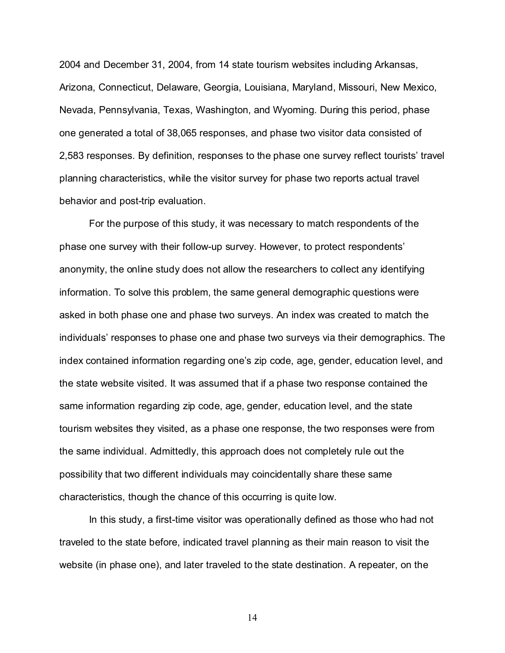2004 and December 31, 2004, from 14 state tourism websites including Arkansas, Arizona, Connecticut, Delaware, Georgia, Louisiana, Maryland, Missouri, New Mexico, Nevada, Pennsylvania, Texas, Washington, and Wyoming. During this period, phase one generated a total of 38,065 responses, and phase two visitor data consisted of 2,583 responses. By definition, responses to the phase one survey reflect tourists travel planning characteristics, while the visitor survey for phase two reports actual travel behavior and post-trip evaluation.

For the purpose of this study, it was necessary to match respondents of the phase one survey with their follow-up survey. However, to protect respondents anonymity, the online study does not allow the researchers to collect any identifying information. To solve this problem, the same general demographic questions were asked in both phase one and phase two surveys. An index was created to match the individuals' responses to phase one and phase two surveys via their demographics. The index contained information regarding one's zip code, age, gender, education level, and the state website visited. It was assumed that if a phase two response contained the same information regarding zip code, age, gender, education level, and the state tourism websites they visited, as a phase one response, the two responses were from the same individual. Admittedly, this approach does not completely rule out the possibility that two different individuals may coincidentally share these same characteristics, though the chance of this occurring is quite low.

In this study, a first-time visitor was operationally defined as those who had not traveled to the state before, indicated travel planning as their main reason to visit the website (in phase one), and later traveled to the state destination. A repeater, on the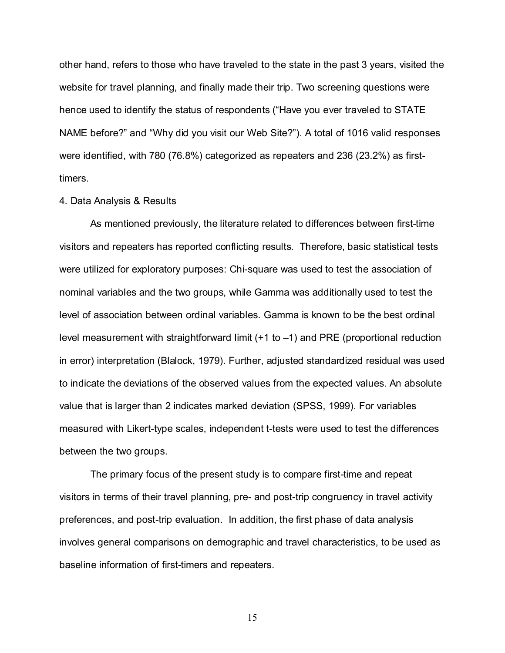other hand, refers to those who have traveled to the state in the past 3 years, visited the website for travel planning, and finally made their trip. Two screening questions were hence used to identify the status of respondents ("Have you ever traveled to STATE NAME before?" and "Why did you visit our Web Site?"). A total of 1016 valid responses were identified, with 780 (76.8%) categorized as repeaters and 236 (23.2%) as firsttimers.

#### 4. Data Analysis & Results

As mentioned previously, the literature related to differences between first-time visitors and repeaters has reported conflicting results. Therefore, basic statistical tests were utilized for exploratory purposes: Chi-square was used to test the association of nominal variables and the two groups, while Gamma was additionally used to test the level of association between ordinal variables. Gamma is known to be the best ordinal level measurement with straightforward limit  $(+1 \text{ to } -1)$  and PRE (proportional reduction in error) interpretation (Blalock, 1979). Further, adjusted standardized residual was used to indicate the deviations of the observed values from the expected values. An absolute value that is larger than 2 indicates marked deviation (SPSS, 1999). For variables measured with Likert-type scales, independent t-tests were used to test the differences between the two groups.

The primary focus of the present study is to compare first-time and repeat visitors in terms of their travel planning, pre- and post-trip congruency in travel activity preferences, and post-trip evaluation. In addition, the first phase of data analysis involves general comparisons on demographic and travel characteristics, to be used as baseline information of first-timers and repeaters.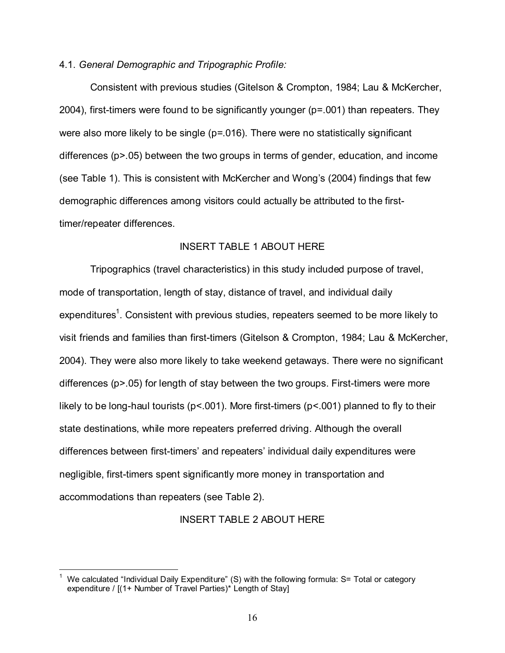### 4.1. General Demographic and Tripographic Profile:

Consistent with previous studies (Gitelson & Crompton, 1984; Lau & McKercher, 2004), first-timers were found to be significantly younger (p=.001) than repeaters. They were also more likely to be single (p=.016). There were no statistically significant differences (p>.05) between the two groups in terms of gender, education, and income (see Table 1). This is consistent with McKercher and Wong's (2004) findings that few demographic differences among visitors could actually be attributed to the firsttimer/repeater differences.

# INSERT TABLE 1 ABOUT HERE

Tripographics (travel characteristics) in this study included purpose of travel, mode of transportation, length of stay, distance of travel, and individual daily expenditures<sup>1</sup>. Consistent with previous studies, repeaters seemed to be more likely to visit friends and families than first-timers (Gitelson & Crompton, 1984; Lau & McKercher, 2004). They were also more likely to take weekend getaways. There were no significant differences (p>.05) for length of stay between the two groups. First-timers were more likely to be long-haul tourists ( $p$ < 001). More first-timers ( $p$ < 001) planned to fly to their state destinations, while more repeaters preferred driving. Although the overall differences between first-timers' and repeaters' individual daily expenditures were negligible, first-timers spent significantly more money in transportation and accommodations than repeaters (see Table 2).

#### INSERT TABLE 2 ABOUT HERE

<sup>&</sup>lt;sup>1</sup> We calculated "Individual Daily Expenditure" (S) with the following formula: S= Total or category expenditure / [(1+ Number of Travel Parties)\* Length of Stay]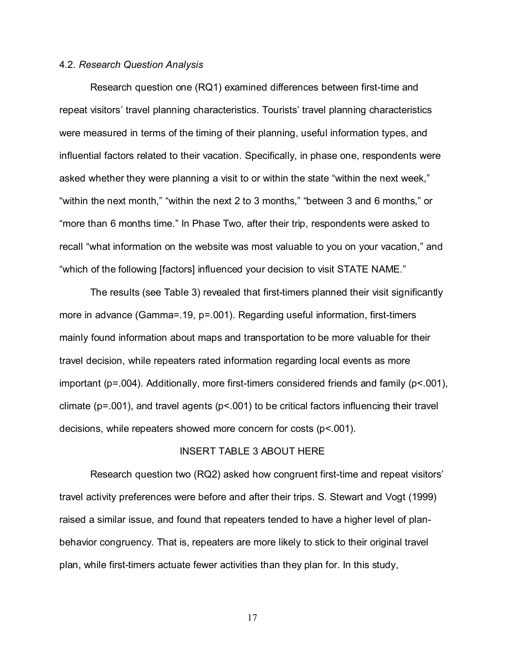#### 4.2. Research Question Analysis

Research question one (RQ1) examined differences between first-time and repeat visitors' travel planning characteristics. Tourists' travel planning characteristics were measured in terms of the timing of their planning, useful information types, and influential factors related to their vacation. Specifically, in phase one, respondents were asked whether they were planning a visit to or within the state "within the next week," "within the next month," "within the next 2 to 3 months," "between 3 and 6 months," or "more than 6 months time." In Phase Two, after their trip, respondents were asked to recall "what information on the website was most valuable to you on your vacation," and "which of the following [factors] influenced your decision to visit STATE NAME."

The results (see Table 3) revealed that first-timers planned their visit significantly more in advance (Gamma=.19, p=.001). Regarding useful information, first-timers mainly found information about maps and transportation to be more valuable for their travel decision, while repeaters rated information regarding local events as more important (p=.004). Additionally, more first-timers considered friends and family (p<.001), climate ( $p = .001$ ), and travel agents ( $p < .001$ ) to be critical factors influencing their travel decisions, while repeaters showed more concern for costs (p<.001).

### INSERT TABLE 3 ABOUT HERE

Research question two (RQ2) asked how congruent first-time and repeat visitors travel activity preferences were before and after their trips. S. Stewart and Vogt (1999) raised a similar issue, and found that repeaters tended to have a higher level of planbehavior congruency. That is, repeaters are more likely to stick to their original travel plan, while first-timers actuate fewer activities than they plan for. In this study,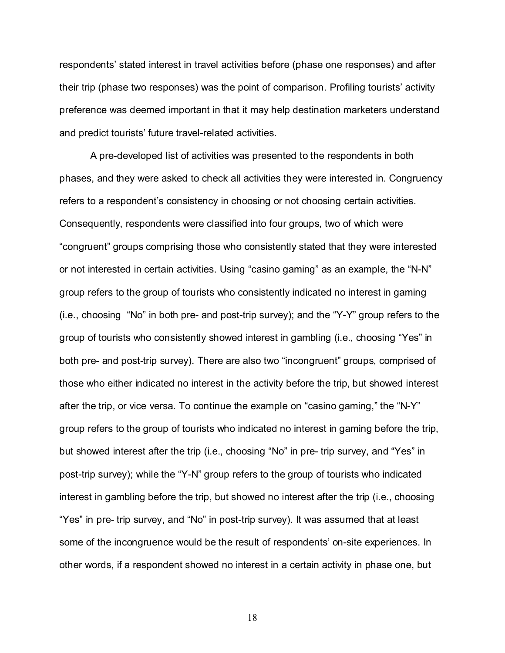respondents' stated interest in travel activities before (phase one responses) and after their trip (phase two responses) was the point of comparison. Profiling tourists' activity preference was deemed important in that it may help destination marketers understand and predict tourists' future travel-related activities.

A pre-developed list of activities was presented to the respondents in both phases, and they were asked to check all activities they were interested in. Congruency refers to a respondent's consistency in choosing or not choosing certain activities. Consequently, respondents were classified into four groups, two of which were "congruent" groups comprising those who consistently stated that they were interested or not interested in certain activities. Using "casino gaming" as an example, the "N-N" group refers to the group of tourists who consistently indicated no interest in gaming  $(i.e., choosing "No" in both pre- and post-trip survey); and the "Y-Y" group refers to the$ group of tourists who consistently showed interest in gambling (i.e., choosing "Yes" in both pre- and post-trip survey). There are also two "incongruent" groups, comprised of those who either indicated no interest in the activity before the trip, but showed interest after the trip, or vice versa. To continue the example on "casino gaming," the "N-Y" group refers to the group of tourists who indicated no interest in gaming before the trip, but showed interest after the trip (i.e., choosing "No" in pre- trip survey, and "Yes" in post-trip survey); while the "Y-N" group refers to the group of tourists who indicated interest in gambling before the trip, but showed no interest after the trip (i.e., choosing "Yes" in pre- trip survey, and "No" in post-trip survey). It was assumed that at least some of the incongruence would be the result of respondents' on-site experiences. In other words, if a respondent showed no interest in a certain activity in phase one, but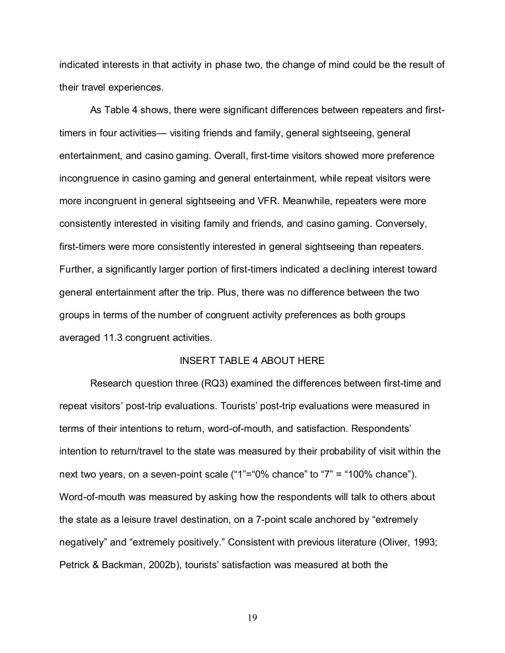indicated interests in that activity in phase two, the change of mind could be the result of their travel experiences.

As Table 4 shows, there were significant differences between repeaters and firsttimers in four activities— visiting friends and family, general sightseeing, general entertainment, and casino gaming. Overall, first-time visitors showed more preference incongruence in casino gaming and general entertainment, while repeat visitors were more incongruent in general sightseeing and VFR. Meanwhile, repeaters were more consistently interested in visiting family and friends, and casino gaming. Conversely, first-timers were more consistently interested in general sightseeing than repeaters. Further, a significantly larger portion of first-timers indicated a declining interest toward general entertainment after the trip. Plus, there was no difference between the two groups in terms of the number of congruent activity preferences as both groups averaged 11.3 congruent activities.

### INSERT TABLE 4 ABOUT HERE

Research question three (RQ3) examined the differences between first-time and repeat visitors' post-trip evaluations. Tourists' post-trip evaluations were measured in terms of their intentions to return, word-of-mouth, and satisfaction. Respondents intention to return/travel to the state was measured by their probability of visit within the next two years, on a seven-point scale ("1"="0% chance" to "7" = "100% chance"). Word-of-mouth was measured by asking how the respondents will talk to others about the state as a leisure travel destination, on a 7-point scale anchored by "extremely" negatively" and "extremely positively." Consistent with previous literature (Oliver, 1993; Petrick & Backman, 2002b), tourists' satisfaction was measured at both the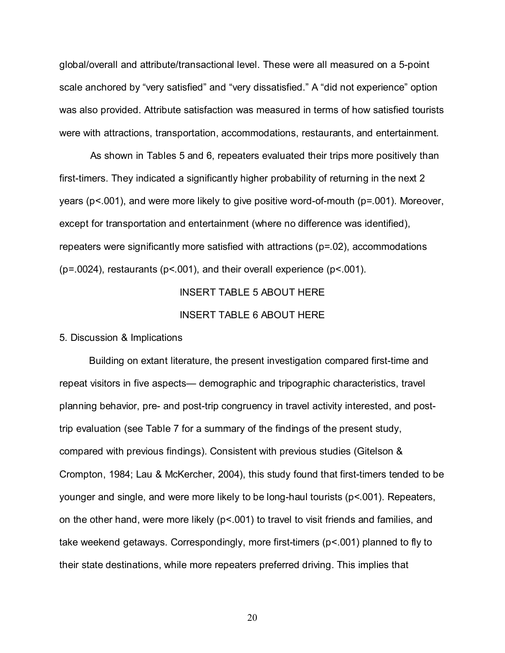global/overall and attribute/transactional level. These were all measured on a 5-point scale anchored by "very satisfied" and "very dissatisfied." A "did not experience" option was also provided. Attribute satisfaction was measured in terms of how satisfied tourists were with attractions, transportation, accommodations, restaurants, and entertainment.

As shown in Tables 5 and 6, repeaters evaluated their trips more positively than first-timers. They indicated a significantly higher probability of returning in the next 2 years (p<.001), and were more likely to give positive word-of-mouth (p=.001). Moreover, except for transportation and entertainment (where no difference was identified), repeaters were significantly more satisfied with attractions (p=.02), accommodations  $(p=0.0024)$ , restaurants ( $p<0.001$ ), and their overall experience ( $p<0.001$ ).

# INSERT TABLE 5 ABOUT HERE

#### INSERT TABLE 6 ABOUT HERE

#### 5. Discussion & Implications

Building on extant literature, the present investigation compared first-time and repeat visitors in five aspects— demographic and tripographic characteristics, travel planning behavior, pre- and post-trip congruency in travel activity interested, and posttrip evaluation (see Table 7 for a summary of the findings of the present study, compared with previous findings). Consistent with previous studies (Gitelson & Crompton, 1984; Lau & McKercher, 2004), this study found that first-timers tended to be younger and single, and were more likely to be long-haul tourists (p<.001). Repeaters, on the other hand, were more likely ( $p < 001$ ) to travel to visit friends and families, and take weekend getaways. Correspondingly, more first-timers (p<.001) planned to fly to their state destinations, while more repeaters preferred driving. This implies that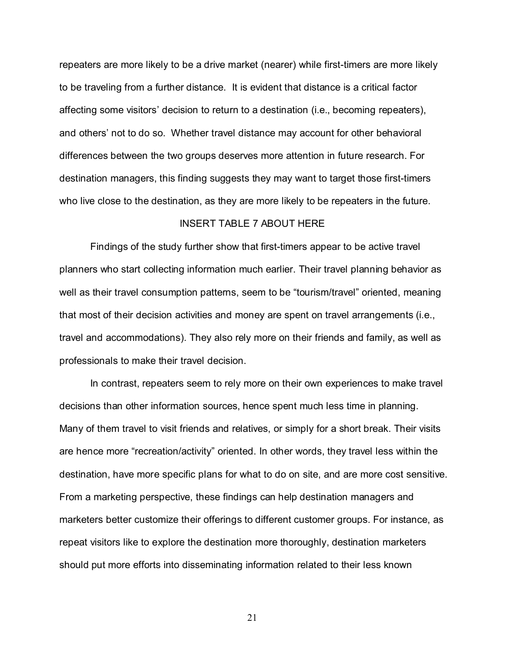repeaters are more likely to be a drive market (nearer) while first-timers are more likely to be traveling from a further distance. It is evident that distance is a critical factor affecting some visitors' decision to return to a destination (i.e., becoming repeaters), and others' not to do so. Whether travel distance may account for other behavioral differences between the two groups deserves more attention in future research. For destination managers, this finding suggests they may want to target those first-timers who live close to the destination, as they are more likely to be repeaters in the future.

### INSERT TABLE 7 ABOUT HERE

Findings of the study further show that first-timers appear to be active travel planners who start collecting information much earlier. Their travel planning behavior as well as their travel consumption patterns, seem to be "tourism/travel" oriented, meaning that most of their decision activities and money are spent on travel arrangements (i.e., travel and accommodations). They also rely more on their friends and family, as well as professionals to make their travel decision.

In contrast, repeaters seem to rely more on their own experiences to make travel decisions than other information sources, hence spent much less time in planning. Many of them travel to visit friends and relatives, or simply for a short break. Their visits are hence more "recreation/activity" oriented. In other words, they travel less within the destination, have more specific plans for what to do on site, and are more cost sensitive. From a marketing perspective, these findings can help destination managers and marketers better customize their offerings to different customer groups. For instance, as repeat visitors like to explore the destination more thoroughly, destination marketers should put more efforts into disseminating information related to their less known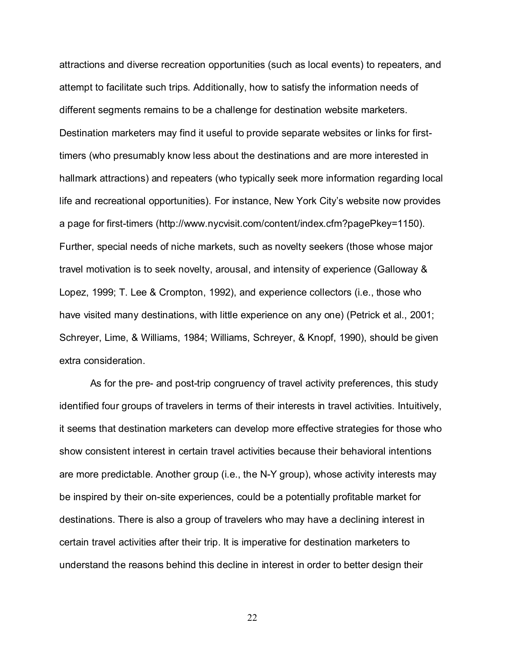attractions and diverse recreation opportunities (such as local events) to repeaters, and attempt to facilitate such trips. Additionally, how to satisfy the information needs of different segments remains to be a challenge for destination website marketers. Destination marketers may find it useful to provide separate websites or links for firsttimers (who presumably know less about the destinations and are more interested in hallmark attractions) and repeaters (who typically seek more information regarding local life and recreational opportunities). For instance, New York City's website now provides a page for first-timers (http://www.nycvisit.com/content/index.cfm?pagePkey=1150). Further, special needs of niche markets, such as novelty seekers (those whose major travel motivation is to seek novelty, arousal, and intensity of experience (Galloway & Lopez, 1999; T. Lee & Crompton, 1992), and experience collectors (i.e., those who have visited many destinations, with little experience on any one) (Petrick et al., 2001; Schreyer, Lime, & Williams, 1984; Williams, Schreyer, & Knopf, 1990), should be given extra consideration.

As for the pre- and post-trip congruency of travel activity preferences, this study identified four groups of travelers in terms of their interests in travel activities. Intuitively, it seems that destination marketers can develop more effective strategies for those who show consistent interest in certain travel activities because their behavioral intentions are more predictable. Another group (i.e., the N-Y group), whose activity interests may be inspired by their on-site experiences, could be a potentially profitable market for destinations. There is also a group of travelers who may have a declining interest in certain travel activities after their trip. It is imperative for destination marketers to understand the reasons behind this decline in interest in order to better design their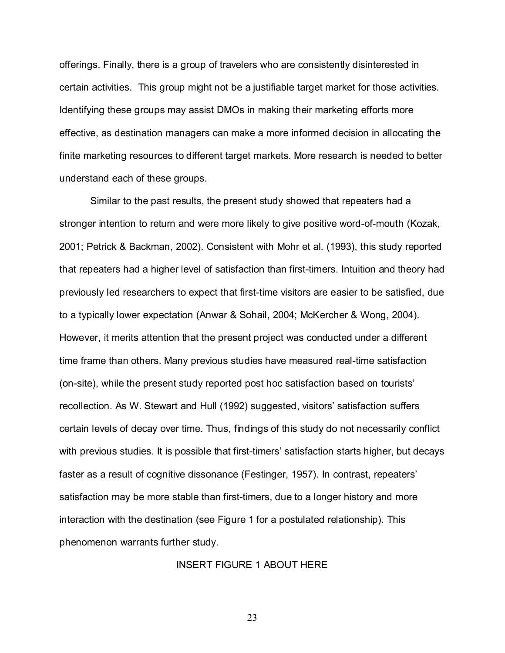offerings. Finally, there is a group of travelers who are consistently disinterested in certain activities. This group might not be a justifiable target market for those activities. Identifying these groups may assist DMOs in making their marketing efforts more effective, as destination managers can make a more informed decision in allocating the finite marketing resources to different target markets. More research is needed to better understand each of these groups.

Similar to the past results, the present study showed that repeaters had a stronger intention to return and were more likely to give positive word-of-mouth (Kozak, 2001; Petrick & Backman, 2002). Consistent with Mohr et al. (1993), this study reported that repeaters had a higher level of satisfaction than first-timers. Intuition and theory had previously led researchers to expect that first-time visitors are easier to be satisfied, due to a typically lower expectation (Anwar & Sohail, 2004; McKercher & Wong, 2004). However, it merits attention that the present project was conducted under a different time frame than others. Many previous studies have measured real-time satisfaction (on-site), while the present study reported post hoc satisfaction based on tourists recollection. As W. Stewart and Hull (1992) suggested, visitors' satisfaction suffers certain levels of decay over time. Thus, findings of this study do not necessarily conflict with previous studies. It is possible that first-timers' satisfaction starts higher, but decays faster as a result of cognitive dissonance (Festinger, 1957). In contrast, repeaters satisfaction may be more stable than first-timers, due to a longer history and more interaction with the destination (see Figure 1 for a postulated relationship). This phenomenon warrants further study.

### INSERT FIGURE 1 ABOUT HERE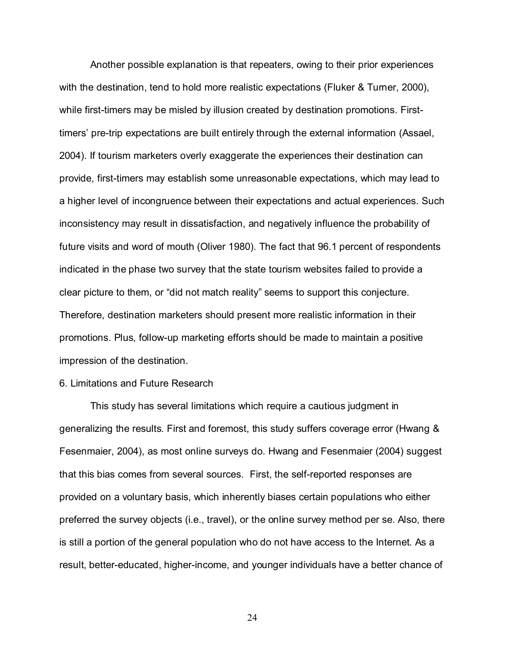Another possible explanation is that repeaters, owing to their prior experiences with the destination, tend to hold more realistic expectations (Fluker & Turner, 2000), while first-timers may be misled by illusion created by destination promotions. Firsttimers' pre-trip expectations are built entirely through the external information (Assael, 2004). If tourism marketers overly exaggerate the experiences their destination can provide, first-timers may establish some unreasonable expectations, which may lead to a higher level of incongruence between their expectations and actual experiences. Such inconsistency may result in dissatisfaction, and negatively influence the probability of future visits and word of mouth (Oliver 1980). The fact that 96.1 percent of respondents indicated in the phase two survey that the state tourism websites failed to provide a clear picture to them, or "did not match reality" seems to support this conjecture. Therefore, destination marketers should present more realistic information in their promotions. Plus, follow-up marketing efforts should be made to maintain a positive impression of the destination.

#### 6. Limitations and Future Research

This study has several limitations which require a cautious judgment in generalizing the results. First and foremost, this study suffers coverage error (Hwang & Fesenmaier, 2004), as most online surveys do. Hwang and Fesenmaier (2004) suggest that this bias comes from several sources. First, the self-reported responses are provided on a voluntary basis, which inherently biases certain populations who either preferred the survey objects (i.e., travel), or the online survey method per se. Also, there is still a portion of the general population who do not have access to the Internet. As a result, better-educated, higher-income, and younger individuals have a better chance of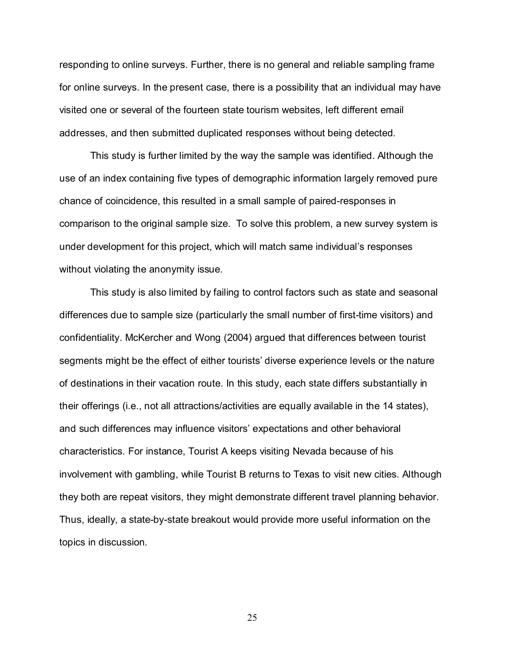responding to online surveys. Further, there is no general and reliable sampling frame for online surveys. In the present case, there is a possibility that an individual may have visited one or several of the fourteen state tourism websites, left different email addresses, and then submitted duplicated responses without being detected.

This study is further limited by the way the sample was identified. Although the use of an index containing five types of demographic information largely removed pure chance of coincidence, this resulted in a small sample of paired-responses in comparison to the original sample size. To solve this problem, a new survey system is under development for this project, which will match same individual's responses without violating the anonymity issue.

This study is also limited by failing to control factors such as state and seasonal differences due to sample size (particularly the small number of first-time visitors) and confidentiality. McKercher and Wong (2004) argued that differences between tourist segments might be the effect of either tourists' diverse experience levels or the nature of destinations in their vacation route. In this study, each state differs substantially in their offerings (i.e., not all attractions/activities are equally available in the 14 states), and such differences may influence visitors' expectations and other behavioral characteristics. For instance, Tourist A keeps visiting Nevada because of his involvement with gambling, while Tourist B returns to Texas to visit new cities. Although they both are repeat visitors, they might demonstrate different travel planning behavior. Thus, ideally, a state-by-state breakout would provide more useful information on the topics in discussion.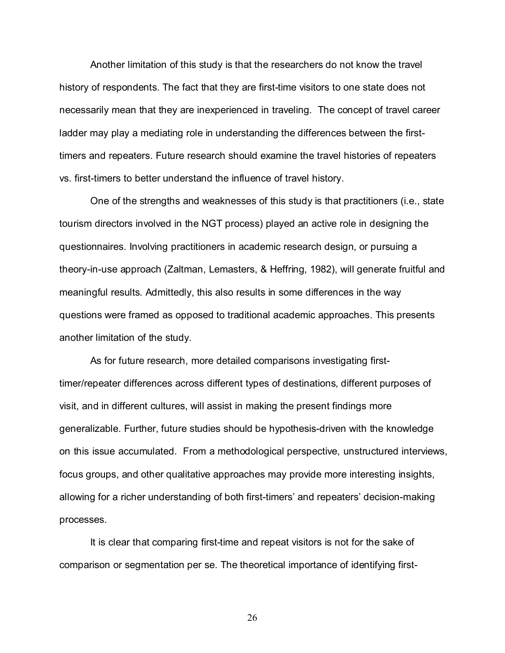Another limitation of this study is that the researchers do not know the travel history of respondents. The fact that they are first-time visitors to one state does not necessarily mean that they are inexperienced in traveling. The concept of travel career ladder may play a mediating role in understanding the differences between the firsttimers and repeaters. Future research should examine the travel histories of repeaters vs. first-timers to better understand the influence of travel history.

One of the strengths and weaknesses of this study is that practitioners (i.e., state tourism directors involved in the NGT process) played an active role in designing the questionnaires. Involving practitioners in academic research design, or pursuing a theory-in-use approach (Zaltman, Lemasters, & Heffring, 1982), will generate fruitful and meaningful results. Admittedly, this also results in some differences in the way questions were framed as opposed to traditional academic approaches. This presents another limitation of the study.

As for future research, more detailed comparisons investigating firsttimer/repeater differences across different types of destinations, different purposes of visit, and in different cultures, will assist in making the present findings more generalizable. Further, future studies should be hypothesis-driven with the knowledge on this issue accumulated. From a methodological perspective, unstructured interviews, focus groups, and other qualitative approaches may provide more interesting insights, allowing for a richer understanding of both first-timers' and repeaters' decision-making processes.

It is clear that comparing first-time and repeat visitors is not for the sake of comparison or segmentation per se. The theoretical importance of identifying first-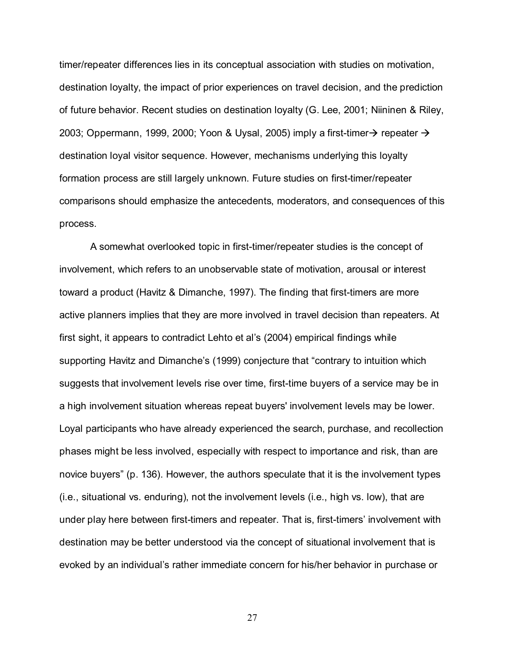timer/repeater differences lies in its conceptual association with studies on motivation, destination loyalty, the impact of prior experiences on travel decision, and the prediction of future behavior. Recent studies on destination loyalty (G. Lee, 2001; Niininen & Riley, 2003; Oppermann, 1999, 2000; Yoon & Uysal, 2005) imply a first-timer $\rightarrow$  repeater  $\rightarrow$ destination loyal visitor sequence. However, mechanisms underlying this loyalty formation process are still largely unknown. Future studies on first-timer/repeater comparisons should emphasize the antecedents, moderators, and consequences of this process.

A somewhat overlooked topic in first-timer/repeater studies is the concept of involvement, which refers to an unobservable state of motivation, arousal or interest toward a product (Havitz & Dimanche, 1997). The finding that first-timers are more active planners implies that they are more involved in travel decision than repeaters. At first sight, it appears to contradict Lehto et al's (2004) empirical findings while supporting Havitz and Dimanche's (1999) conjecture that "contrary to intuition which suggests that involvement levels rise over time, first-time buyers of a service may be in a high involvement situation whereas repeat buyers' involvement levels may be lower. Loyal participants who have already experienced the search, purchase, and recollection phases might be less involved, especially with respect to importance and risk, than are novice buyers" (p. 136). However, the authors speculate that it is the involvement types (i.e., situational vs. enduring), not the involvement levels (i.e., high vs. low), that are under play here between first-timers and repeater. That is, first-timers involvement with destination may be better understood via the concept of situational involvement that is evoked by an individual's rather immediate concern for his/her behavior in purchase or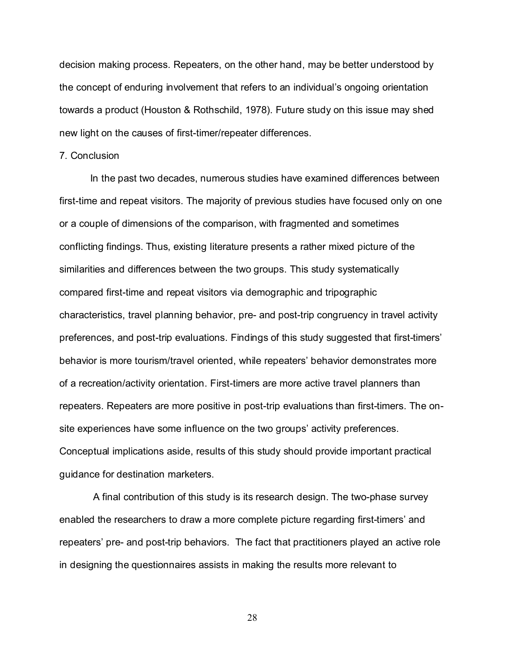decision making process. Repeaters, on the other hand, may be better understood by the concept of enduring involvement that refers to an individual's ongoing orientation towards a product (Houston & Rothschild, 1978). Future study on this issue may shed new light on the causes of first-timer/repeater differences.

#### 7. Conclusion

In the past two decades, numerous studies have examined differences between first-time and repeat visitors. The majority of previous studies have focused only on one or a couple of dimensions of the comparison, with fragmented and sometimes conflicting findings. Thus, existing literature presents a rather mixed picture of the similarities and differences between the two groups. This study systematically compared first-time and repeat visitors via demographic and tripographic characteristics, travel planning behavior, pre- and post-trip congruency in travel activity preferences, and post-trip evaluations. Findings of this study suggested that first-timers behavior is more tourism/travel oriented, while repeaters' behavior demonstrates more of a recreation/activity orientation. First-timers are more active travel planners than repeaters. Repeaters are more positive in post-trip evaluations than first-timers. The onsite experiences have some influence on the two groups' activity preferences. Conceptual implications aside, results of this study should provide important practical guidance for destination marketers.

A final contribution of this study is its research design. The two-phase survey enabled the researchers to draw a more complete picture regarding first-timers' and repeaters' pre- and post-trip behaviors. The fact that practitioners played an active role in designing the questionnaires assists in making the results more relevant to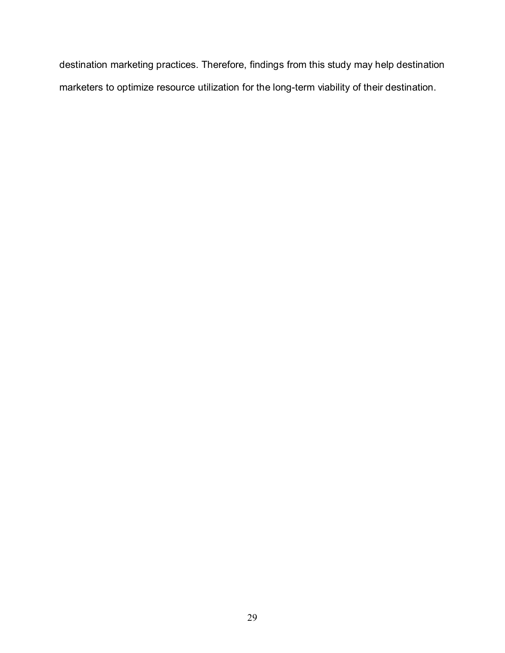destination marketing practices. Therefore, findings from this study may help destination marketers to optimize resource utilization for the long-term viability of their destination.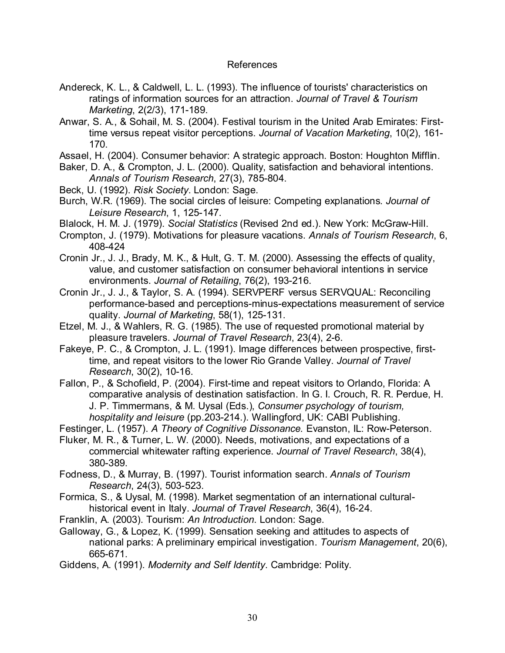# References

- Andereck, K. L., & Caldwell, L. L. (1993). The influence of tourists' characteristics on ratings of information sources for an attraction. Journal of Travel & Tourism Marketing, 2(2/3), 171-189.
- Anwar, S. A., & Sohail, M. S. (2004). Festival tourism in the United Arab Emirates: Firsttime versus repeat visitor perceptions. Journal of Vacation Marketing, 10(2), 161- 170.
- Assael, H. (2004). Consumer behavior: A strategic approach. Boston: Houghton Mifflin.
- Baker, D. A., & Crompton, J. L. (2000). Quality, satisfaction and behavioral intentions. Annals of Tourism Research, 27(3), 785-804.
- Beck, U. (1992). Risk Society. London: Sage.
- Burch, W.R. (1969). The social circles of leisure: Competing explanations. Journal of Leisure Research, 1, 125-147.
- Blalock, H. M. J. (1979). Social Statistics (Revised 2nd ed.). New York: McGraw-Hill.
- Crompton, J. (1979). Motivations for pleasure vacations. Annals of Tourism Research, 6, 408-424
- Cronin Jr., J. J., Brady, M. K., & Hult, G. T. M. (2000). Assessing the effects of quality, value, and customer satisfaction on consumer behavioral intentions in service environments. Journal of Retailing, 76(2), 193-216.
- Cronin Jr., J. J., & Taylor, S. A. (1994). SERVPERF versus SERVQUAL: Reconciling performance-based and perceptions-minus-expectations measurement of service quality. Journal of Marketing, 58(1), 125-131.
- Etzel, M. J., & Wahlers, R. G. (1985). The use of requested promotional material by pleasure travelers. Journal of Travel Research, 23(4), 2-6.
- Fakeye, P. C., & Crompton, J. L. (1991). Image differences between prospective, firsttime, and repeat visitors to the lower Rio Grande Valley. Journal of Travel Research, 30(2), 10-16.
- Fallon, P., & Schofield, P. (2004). First-time and repeat visitors to Orlando, Florida: A comparative analysis of destination satisfaction. In G. I. Crouch, R. R. Perdue, H. J. P. Timmermans, & M. Uysal (Eds.), Consumer psychology of tourism, hospitality and leisure (pp.203-214.). Wallingford, UK: CABI Publishing.

Festinger, L. (1957). A Theory of Cognitive Dissonance. Evanston, IL: Row-Peterson.

- Fluker, M. R., & Turner, L. W. (2000). Needs, motivations, and expectations of a commercial whitewater rafting experience. Journal of Travel Research, 38(4), 380-389.
- Fodness, D., & Murray, B. (1997). Tourist information search. Annals of Tourism Research, 24(3), 503-523.
- Formica, S., & Uysal, M. (1998). Market segmentation of an international culturalhistorical event in Italy. Journal of Travel Research, 36(4), 16-24.
- Franklin, A. (2003). Tourism: An Introduction. London: Sage.
- Galloway, G., & Lopez, K. (1999). Sensation seeking and attitudes to aspects of national parks: A preliminary empirical investigation. Tourism Management, 20(6), 665-671.
- Giddens, A. (1991). Modernity and Self Identity. Cambridge: Polity.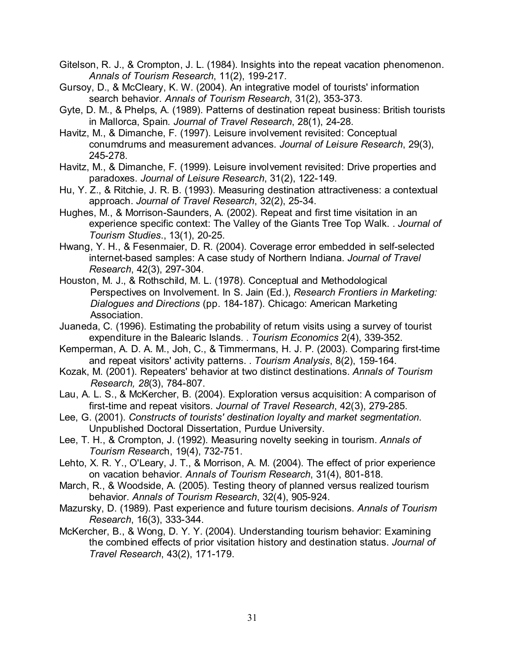Gitelson, R. J., & Crompton, J. L. (1984). Insights into the repeat vacation phenomenon. Annals of Tourism Research, 11(2), 199-217.

- Gursoy, D., & McCleary, K. W. (2004). An integrative model of tourists' information search behavior. Annals of Tourism Research, 31(2), 353-373.
- Gyte, D. M., & Phelps, A. (1989). Patterns of destination repeat business: British tourists in Mallorca, Spain. Journal of Travel Research, 28(1), 24-28.
- Havitz, M., & Dimanche, F. (1997). Leisure involvement revisited: Conceptual conumdrums and measurement advances. Journal of Leisure Research, 29(3), 245-278.
- Havitz, M., & Dimanche, F. (1999). Leisure involvement revisited: Drive properties and paradoxes. Journal of Leisure Research, 31(2), 122-149.
- Hu, Y. Z., & Ritchie, J. R. B. (1993). Measuring destination attractiveness: a contextual approach. Journal of Travel Research, 32(2), 25-34.
- Hughes, M., & Morrison-Saunders, A. (2002). Repeat and first time visitation in an experience specific context: The Valley of the Giants Tree Top Walk. . Journal of Tourism Studies., 13(1), 20-25.
- Hwang, Y. H., & Fesenmaier, D. R. (2004). Coverage error embedded in self-selected internet-based samples: A case study of Northern Indiana. Journal of Travel Research, 42(3), 297-304.
- Houston, M. J., & Rothschild, M. L. (1978). Conceptual and Methodological Perspectives on Involvement. In S. Jain (Ed.), Research Frontiers in Marketing: Dialogues and Directions (pp. 184-187). Chicago: American Marketing Association.
- Juaneda, C. (1996). Estimating the probability of return visits using a survey of tourist expenditure in the Balearic Islands. . Tourism Economics 2(4), 339-352.
- Kemperman, A. D. A. M., Joh, C., & Timmermans, H. J. P. (2003). Comparing first-time and repeat visitors' activity patterns. . Tourism Analysis, 8(2), 159-164.
- Kozak, M. (2001). Repeaters' behavior at two distinct destinations. Annals of Tourism Research, 28(3), 784-807.
- Lau, A. L. S., & McKercher, B. (2004). Exploration versus acquisition: A comparison of first-time and repeat visitors. Journal of Travel Research, 42(3), 279-285.
- Lee, G. (2001). Constructs of tourists' destination loyalty and market segmentation. Unpublished Doctoral Dissertation, Purdue University.
- Lee, T. H., & Crompton, J. (1992). Measuring novelty seeking in tourism. Annals of Tourism Research, 19(4), 732-751.
- Lehto, X. R. Y., O'Leary, J. T., & Morrison, A. M. (2004). The effect of prior experience on vacation behavior. Annals of Tourism Research, 31(4), 801-818.
- March, R., & Woodside, A. (2005). Testing theory of planned versus realized tourism behavior. Annals of Tourism Research, 32(4), 905-924.
- Mazursky, D. (1989). Past experience and future tourism decisions. Annals of Tourism Research, 16(3), 333-344.
- McKercher, B., & Wong, D. Y. Y. (2004). Understanding tourism behavior: Examining the combined effects of prior visitation history and destination status. Journal of Travel Research, 43(2), 171-179.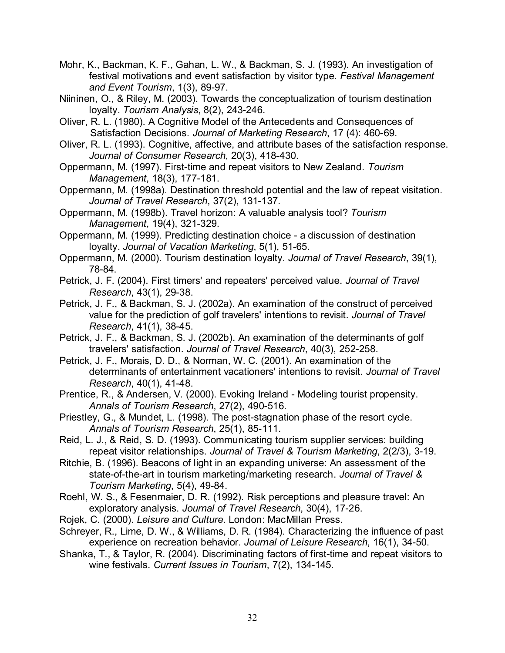- Mohr, K., Backman, K. F., Gahan, L. W., & Backman, S. J. (1993). An investigation of festival motivations and event satisfaction by visitor type. Festival Management and Event Tourism, 1(3), 89-97.
- Niininen, O., & Riley, M. (2003). Towards the conceptualization of tourism destination loyalty. Tourism Analysis, 8(2), 243-246.
- Oliver, R. L. (1980). A Cognitive Model of the Antecedents and Consequences of Satisfaction Decisions. Journal of Marketing Research, 17 (4): 460-69.
- Oliver, R. L. (1993). Cognitive, affective, and attribute bases of the satisfaction response. Journal of Consumer Research, 20(3), 418-430.
- Oppermann, M. (1997). First-time and repeat visitors to New Zealand. Tourism Management, 18(3), 177-181.
- Oppermann, M. (1998a). Destination threshold potential and the law of repeat visitation. Journal of Travel Research, 37(2), 131-137.
- Oppermann, M. (1998b). Travel horizon: A valuable analysis tool? Tourism Management, 19(4), 321-329.
- Oppermann, M. (1999). Predicting destination choice a discussion of destination loyalty. Journal of Vacation Marketing, 5(1), 51-65.
- Oppermann, M. (2000). Tourism destination loyalty. Journal of Travel Research, 39(1), 78-84.
- Petrick, J. F. (2004). First timers' and repeaters' perceived value. Journal of Travel Research, 43(1), 29-38.
- Petrick, J. F., & Backman, S. J. (2002a). An examination of the construct of perceived value for the prediction of golf travelers' intentions to revisit. Journal of Travel Research, 41(1), 38-45.
- Petrick, J. F., & Backman, S. J. (2002b). An examination of the determinants of golf travelers' satisfaction. Journal of Travel Research, 40(3), 252-258.
- Petrick, J. F., Morais, D. D., & Norman, W. C. (2001). An examination of the determinants of entertainment vacationers' intentions to revisit. Journal of Travel Research, 40(1), 41-48.
- Prentice, R., & Andersen, V. (2000). Evoking Ireland Modeling tourist propensity. Annals of Tourism Research, 27(2), 490-516.
- Priestley, G., & Mundet, L. (1998). The post-stagnation phase of the resort cycle. Annals of Tourism Research, 25(1), 85-111.
- Reid, L. J., & Reid, S. D. (1993). Communicating tourism supplier services: building repeat visitor relationships. Journal of Travel & Tourism Marketing, 2(2/3), 3-19.
- Ritchie, B. (1996). Beacons of light in an expanding universe: An assessment of the state-of-the-art in tourism marketing/marketing research. Journal of Travel & Tourism Marketing, 5(4), 49-84.
- Roehl, W. S., & Fesenmaier, D. R. (1992). Risk perceptions and pleasure travel: An exploratory analysis. Journal of Travel Research, 30(4), 17-26.
- Rojek, C. (2000). Leisure and Culture. London: MacMillan Press.
- Schreyer, R., Lime, D. W., & Williams, D. R. (1984). Characterizing the influence of past experience on recreation behavior. Journal of Leisure Research, 16(1), 34-50.
- Shanka, T., & Taylor, R. (2004). Discriminating factors of first-time and repeat visitors to wine festivals. Current Issues in Tourism, 7(2), 134-145.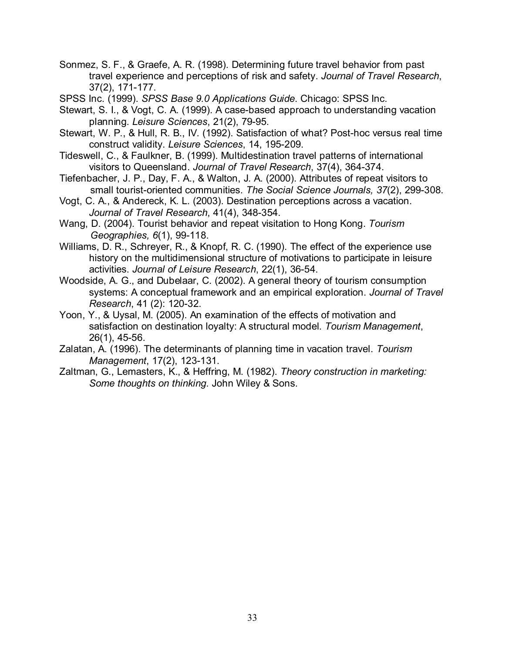- Sonmez, S. F., & Graefe, A. R. (1998). Determining future travel behavior from past travel experience and perceptions of risk and safety. Journal of Travel Research, 37(2), 171-177.
- SPSS Inc. (1999). SPSS Base 9.0 Applications Guide. Chicago: SPSS Inc.
- Stewart, S. I., & Vogt, C. A. (1999). A case-based approach to understanding vacation planning. Leisure Sciences, 21(2), 79-95.
- Stewart, W. P., & Hull, R. B., IV. (1992). Satisfaction of what? Post-hoc versus real time construct validity. Leisure Sciences, 14, 195-209.
- Tideswell, C., & Faulkner, B. (1999). Multidestination travel patterns of international visitors to Queensland. Journal of Travel Research, 37(4), 364-374.
- Tiefenbacher, J. P., Day, F. A., & Walton, J. A. (2000). Attributes of repeat visitors to small tourist-oriented communities. The Social Science Journals, 37(2), 299-308.
- Vogt, C. A., & Andereck, K. L. (2003). Destination perceptions across a vacation. Journal of Travel Research, 41(4), 348-354.
- Wang, D. (2004). Tourist behavior and repeat visitation to Hong Kong. Tourism Geographies, 6(1), 99-118.
- Williams, D. R., Schreyer, R., & Knopf, R. C. (1990). The effect of the experience use history on the multidimensional structure of motivations to participate in leisure activities. Journal of Leisure Research, 22(1), 36-54.
- Woodside, A. G., and Dubelaar, C. (2002). A general theory of tourism consumption systems: A conceptual framework and an empirical exploration. Journal of Travel Research, 41 (2): 120-32.
- Yoon, Y., & Uysal, M. (2005). An examination of the effects of motivation and satisfaction on destination loyalty: A structural model. Tourism Management, 26(1), 45-56.
- Zalatan, A. (1996). The determinants of planning time in vacation travel. Tourism Management, 17(2), 123-131.
- Zaltman, G., Lemasters, K., & Heffring, M. (1982). Theory construction in marketing: Some thoughts on thinking. John Wiley & Sons.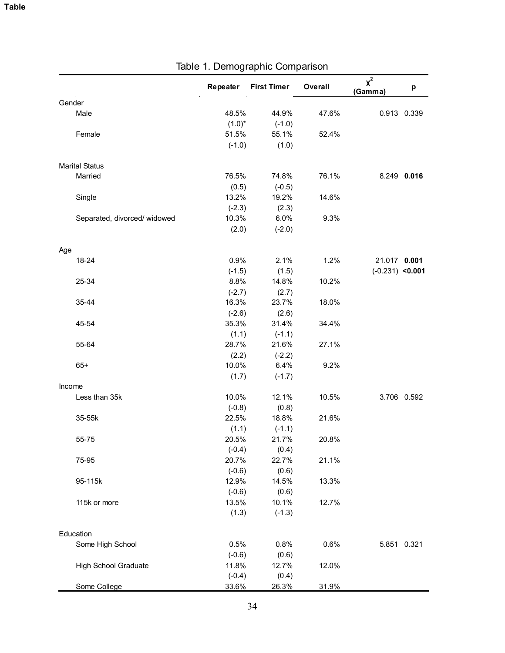|        |                              | Repeater  | <b>First Timer</b> | Overall | $\chi^2$<br>(Gamma) | р           |
|--------|------------------------------|-----------|--------------------|---------|---------------------|-------------|
| Gender |                              |           |                    |         |                     |             |
|        | Male                         | 48.5%     | 44.9%              | 47.6%   |                     | 0.913 0.339 |
|        |                              | $(1.0)^*$ | $(-1.0)$           |         |                     |             |
|        | Female                       | 51.5%     | 55.1%              | 52.4%   |                     |             |
|        |                              | $(-1.0)$  | (1.0)              |         |                     |             |
|        |                              |           |                    |         |                     |             |
|        | <b>Marital Status</b>        |           |                    |         |                     |             |
|        | Married                      | 76.5%     | 74.8%              | 76.1%   |                     | 8.249 0.016 |
|        |                              | (0.5)     | $(-0.5)$           |         |                     |             |
|        | Single                       | 13.2%     | 19.2%              | 14.6%   |                     |             |
|        |                              | $(-2.3)$  | (2.3)              |         |                     |             |
|        | Separated, divorced/ widowed | 10.3%     | 6.0%               | 9.3%    |                     |             |
|        |                              | (2.0)     | $(-2.0)$           |         |                     |             |
|        |                              |           |                    |         |                     |             |
| Age    | 18-24                        | 0.9%      | 2.1%               | 1.2%    | 21.017 0.001        |             |
|        |                              | $(-1.5)$  | (1.5)              |         | $(-0.231)$ <0.001   |             |
|        | 25-34                        | 8.8%      | 14.8%              | 10.2%   |                     |             |
|        |                              | $(-2.7)$  | (2.7)              |         |                     |             |
|        | 35-44                        | 16.3%     | 23.7%              | 18.0%   |                     |             |
|        |                              | $(-2.6)$  | (2.6)              |         |                     |             |
|        | 45-54                        | 35.3%     | 31.4%              | 34.4%   |                     |             |
|        |                              | (1.1)     | $(-1.1)$           |         |                     |             |
|        | 55-64                        | 28.7%     | 21.6%              | 27.1%   |                     |             |
|        |                              | (2.2)     | $(-2.2)$           |         |                     |             |
|        | $65+$                        | 10.0%     | 6.4%               | 9.2%    |                     |             |
|        |                              | (1.7)     | $(-1.7)$           |         |                     |             |
| Income |                              |           |                    |         |                     |             |
|        | Less than 35k                | 10.0%     | 12.1%              | 10.5%   |                     | 3.706 0.592 |
|        |                              | $(-0.8)$  | (0.8)              |         |                     |             |
|        | 35-55k                       | 22.5%     | 18.8%              | 21.6%   |                     |             |
|        |                              | (1.1)     | $(-1.1)$           |         |                     |             |
|        | 55-75                        | 20.5%     | 21.7%              | 20.8%   |                     |             |
|        |                              | $(-0.4)$  | (0.4)              |         |                     |             |
|        | 75-95                        | 20.7%     | 22.7%              | 21.1%   |                     |             |
|        |                              | $(-0.6)$  | (0.6)              |         |                     |             |
|        | 95-115k                      | 12.9%     | 14.5%              | 13.3%   |                     |             |
|        |                              | $(-0.6)$  | (0.6)              |         |                     |             |
|        | 115k or more                 | 13.5%     | 10.1%              | 12.7%   |                     |             |
|        |                              | (1.3)     | $(-1.3)$           |         |                     |             |
|        |                              |           |                    |         |                     |             |
|        | Education                    |           |                    |         |                     |             |
|        | Some High School             | 0.5%      | 0.8%               | 0.6%    |                     | 5.851 0.321 |
|        |                              | $(-0.6)$  | (0.6)              |         |                     |             |
|        | <b>High School Graduate</b>  | 11.8%     | 12.7%              | 12.0%   |                     |             |
|        |                              | $(-0.4)$  | (0.4)              |         |                     |             |
|        | Some College                 | 33.6%     | 26.3%              | 31.9%   |                     |             |

# Table 1. Demographic Comparison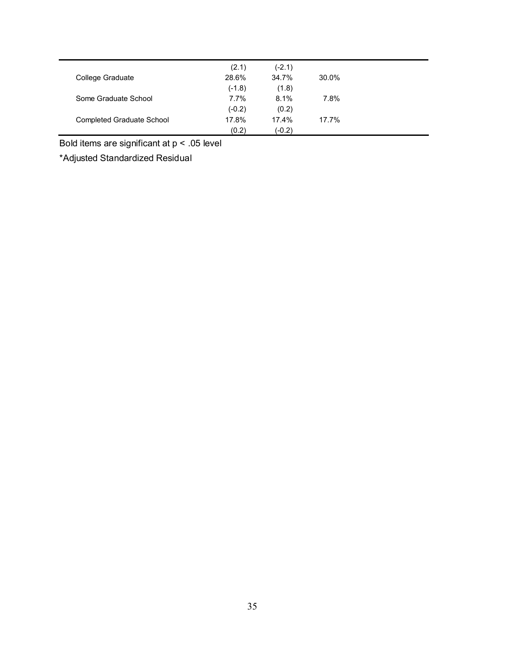|                                  | (2.1)    | $(-2.1)$ |       |
|----------------------------------|----------|----------|-------|
| College Graduate                 | 28.6%    | 34.7%    | 30.0% |
|                                  | $(-1.8)$ | (1.8)    |       |
| Some Graduate School             | $7.7\%$  | 8.1%     | 7.8%  |
|                                  | $(-0.2)$ | (0.2)    |       |
| <b>Completed Graduate School</b> | 17.8%    | 17.4%    | 17.7% |
|                                  | (0.2)    | (-0.2)   |       |

Bold items are significant at p < .05 level

\*Adjusted Standardized Residual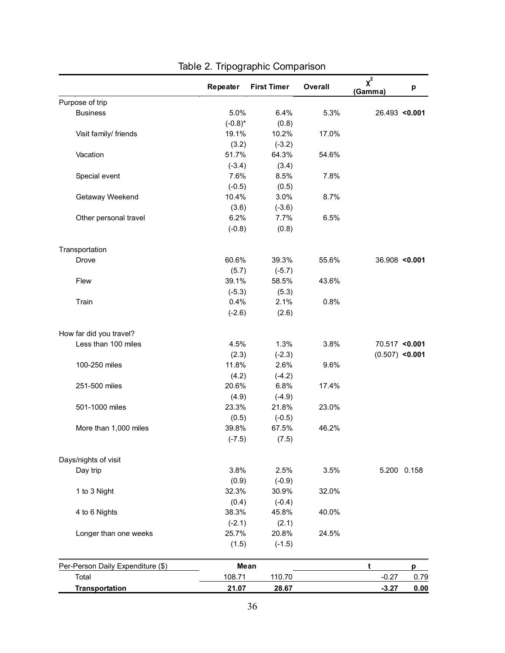|                                   | Repeater   | <b>First Timer</b> | Overall | $\chi^2$<br>(Gamma) | р               |
|-----------------------------------|------------|--------------------|---------|---------------------|-----------------|
| Purpose of trip                   |            |                    |         |                     |                 |
| <b>Business</b>                   | 5.0%       | 6.4%               | 5.3%    |                     | 26.493 < 0.001  |
|                                   | $(-0.8)^*$ | (0.8)              |         |                     |                 |
| Visit family/ friends             | 19.1%      | 10.2%              | 17.0%   |                     |                 |
|                                   | (3.2)      | $(-3.2)$           |         |                     |                 |
| Vacation                          | 51.7%      | 64.3%              | 54.6%   |                     |                 |
|                                   | $(-3.4)$   | (3.4)              |         |                     |                 |
| Special event                     | 7.6%       | 8.5%               | 7.8%    |                     |                 |
|                                   | $(-0.5)$   | (0.5)              |         |                     |                 |
| Getaway Weekend                   | 10.4%      | 3.0%               | 8.7%    |                     |                 |
|                                   | (3.6)      | $(-3.6)$           |         |                     |                 |
| Other personal travel             | 6.2%       | 7.7%               | 6.5%    |                     |                 |
|                                   | $(-0.8)$   | (0.8)              |         |                     |                 |
| Transportation                    |            |                    |         |                     |                 |
| Drove                             | 60.6%      | 39.3%              | 55.6%   |                     | $36.908$ <0.001 |
|                                   | (5.7)      | $(-5.7)$           |         |                     |                 |
| Flew                              | 39.1%      | 58.5%              | 43.6%   |                     |                 |
|                                   | $(-5.3)$   | (5.3)              |         |                     |                 |
| Train                             | 0.4%       | 2.1%               | 0.8%    |                     |                 |
|                                   | $(-2.6)$   | (2.6)              |         |                     |                 |
| How far did you travel?           |            |                    |         |                     |                 |
| Less than 100 miles               | 4.5%       | 1.3%               | 3.8%    |                     | 70.517 <0.001   |
|                                   | (2.3)      | $(-2.3)$           |         | $(0.507)$ <0.001    |                 |
| 100-250 miles                     | 11.8%      | 2.6%               | 9.6%    |                     |                 |
|                                   | (4.2)      | $(-4.2)$           |         |                     |                 |
| 251-500 miles                     | 20.6%      | 6.8%               | 17.4%   |                     |                 |
|                                   | (4.9)      | $(-4.9)$           |         |                     |                 |
| 501-1000 miles                    | 23.3%      | 21.8%              | 23.0%   |                     |                 |
|                                   | (0.5)      | $(-0.5)$           |         |                     |                 |
| More than 1,000 miles             | 39.8%      | 67.5%              | 46.2%   |                     |                 |
|                                   | $(-7.5)$   | (7.5)              |         |                     |                 |
| Days/nights of visit              |            |                    |         |                     |                 |
| Day trip                          | 3.8%       | 2.5%               | 3.5%    |                     | 5.200 0.158     |
|                                   | (0.9)      | $(-0.9)$           |         |                     |                 |
| 1 to 3 Night                      | 32.3%      | 30.9%              | 32.0%   |                     |                 |
|                                   | (0.4)      | $(-0.4)$           |         |                     |                 |
| 4 to 6 Nights                     | 38.3%      | 45.8%              | 40.0%   |                     |                 |
|                                   | $(-2.1)$   | (2.1)              |         |                     |                 |
| Longer than one weeks             | 25.7%      | 20.8%              | 24.5%   |                     |                 |
|                                   | (1.5)      | $(-1.5)$           |         |                     |                 |
| Per-Person Daily Expenditure (\$) |            | Mean               |         | t                   | р               |
| Total                             | 108.71     | 110.70             |         | $-0.27$             | 0.79            |
| <b>Transportation</b>             | 21.07      | 28.67              |         | $-3.27$             | 0.00            |

# Table 2. Tripographic Comparison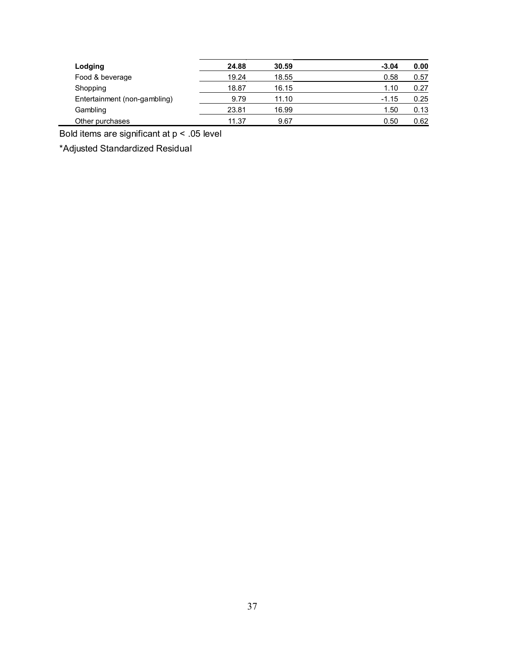| Lodging                      | 24.88 | 30.59 | $-3.04$ | 0.00 |
|------------------------------|-------|-------|---------|------|
| Food & beverage              | 19.24 | 18.55 | 0.58    | 0.57 |
| Shopping                     | 18.87 | 16.15 | 1.10    | 0.27 |
| Entertainment (non-gambling) | 9.79  | 11.10 | $-1.15$ | 0.25 |
| Gambling                     | 23.81 | 16.99 | 1.50    | 0.13 |
| Other purchases              | 11.37 | 9.67  | 0.50    | 0.62 |

Bold items are significant at p < .05 level

\*Adjusted Standardized Residual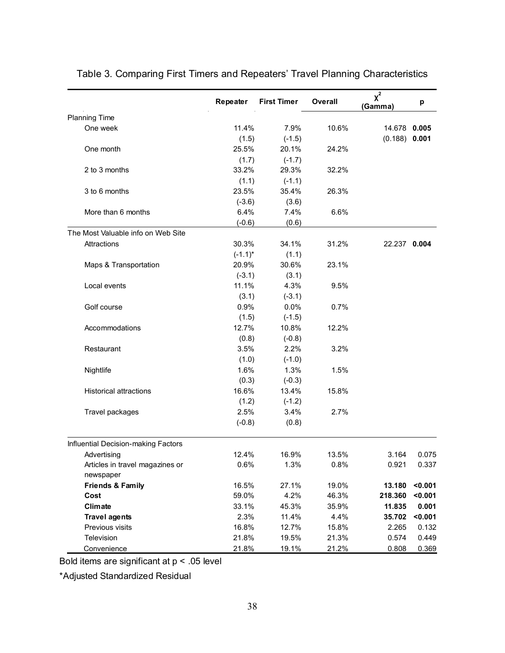|                                     | Repeater   | <b>First Timer</b> | Overall | $x^2$<br>(Gamma) | p       |
|-------------------------------------|------------|--------------------|---------|------------------|---------|
| <b>Planning Time</b>                |            |                    |         |                  |         |
| One week                            | 11.4%      | 7.9%               | 10.6%   | 14.678           | 0.005   |
|                                     | (1.5)      | $(-1.5)$           |         | (0.188)          | 0.001   |
| One month                           | 25.5%      | 20.1%              | 24.2%   |                  |         |
|                                     | (1.7)      | $(-1.7)$           |         |                  |         |
| 2 to 3 months                       | 33.2%      | 29.3%              | 32.2%   |                  |         |
|                                     | (1.1)      | $(-1.1)$           |         |                  |         |
| 3 to 6 months                       | 23.5%      | 35.4%              | 26.3%   |                  |         |
|                                     | $(-3.6)$   | (3.6)              |         |                  |         |
| More than 6 months                  | 6.4%       | 7.4%               | 6.6%    |                  |         |
|                                     | $(-0.6)$   | (0.6)              |         |                  |         |
| The Most Valuable info on Web Site  |            |                    |         |                  |         |
| Attractions                         | 30.3%      | 34.1%              | 31.2%   | 22.237 0.004     |         |
|                                     | $(-1.1)^*$ | (1.1)              |         |                  |         |
| Maps & Transportation               | 20.9%      | 30.6%              | 23.1%   |                  |         |
|                                     | $(-3.1)$   | (3.1)              |         |                  |         |
| Local events                        | 11.1%      | 4.3%               | 9.5%    |                  |         |
|                                     | (3.1)      | $(-3.1)$           |         |                  |         |
| Golf course                         | 0.9%       | 0.0%               | 0.7%    |                  |         |
|                                     | (1.5)      | $(-1.5)$           |         |                  |         |
| Accommodations                      | 12.7%      | 10.8%              | 12.2%   |                  |         |
|                                     | (0.8)      | $(-0.8)$           |         |                  |         |
| Restaurant                          | 3.5%       | 2.2%               | 3.2%    |                  |         |
|                                     | (1.0)      | $(-1.0)$           |         |                  |         |
| Nightlife                           | 1.6%       | 1.3%               | 1.5%    |                  |         |
|                                     | (0.3)      | $(-0.3)$           |         |                  |         |
| <b>Historical attractions</b>       | 16.6%      | 13.4%              | 15.8%   |                  |         |
|                                     | (1.2)      | $(-1.2)$           |         |                  |         |
| Travel packages                     | 2.5%       | 3.4%               | 2.7%    |                  |         |
|                                     | $(-0.8)$   | (0.8)              |         |                  |         |
| Influential Decision-making Factors |            |                    |         |                  |         |
| Advertising                         | 12.4%      | 16.9%              | 13.5%   | 3.164            | 0.075   |
| Articles in travel magazines or     | 0.6%       | 1.3%               | 0.8%    | 0.921            | 0.337   |
| newspaper                           |            |                    |         |                  |         |
| <b>Friends &amp; Family</b>         | 16.5%      | 27.1%              | 19.0%   | 13.180           | < 0.001 |
| Cost                                | 59.0%      | 4.2%               | 46.3%   | 218.360          | < 0.001 |
| Climate                             | 33.1%      | 45.3%              | 35.9%   | 11.835           | 0.001   |
| <b>Travel agents</b>                | 2.3%       | 11.4%              | 4.4%    | 35.702           | < 0.001 |
| Previous visits                     | 16.8%      | 12.7%              | 15.8%   | 2.265            | 0.132   |
| Television                          | 21.8%      | 19.5%              | 21.3%   | 0.574            | 0.449   |
| Convenience                         | 21.8%      | 19.1%              | 21.2%   | 0.808            | 0.369   |

# Table 3. Comparing First Timers and Repeaters' Travel Planning Characteristics

Bold items are significant at p < .05 level

\*Adjusted Standardized Residual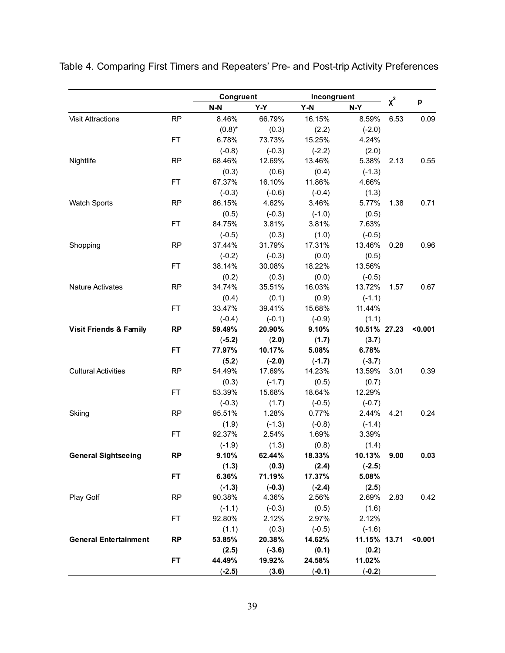|                                   |           | Congruent          |                    | Incongruent |                       | $x^2$ |         |
|-----------------------------------|-----------|--------------------|--------------------|-------------|-----------------------|-------|---------|
|                                   |           | $N-N$              | Y-Y                | $Y-N$       | N-Y                   |       | p       |
| <b>Visit Attractions</b>          | <b>RP</b> | 8.46%              | 66.79%             | 16.15%      | 8.59%                 | 6.53  | 0.09    |
|                                   |           | $(0.8)^*$          | (0.3)              | (2.2)       | $(-2.0)$              |       |         |
|                                   | <b>FT</b> | 6.78%              | 73.73%             | 15.25%      | 4.24%                 |       |         |
|                                   |           | $(-0.8)$           | $(-0.3)$           | $(-2.2)$    | (2.0)                 |       |         |
| Nightlife                         | RP        | 68.46%             | 12.69%             | 13.46%      | 5.38%                 | 2.13  | 0.55    |
|                                   |           | (0.3)              | (0.6)              | (0.4)       | $(-1.3)$              |       |         |
|                                   | <b>FT</b> | 67.37%             | 16.10%             | 11.86%      | 4.66%                 |       |         |
|                                   |           | $(-0.3)$           | $(-0.6)$           | $(-0.4)$    | (1.3)                 |       |         |
| <b>Watch Sports</b>               | <b>RP</b> | 86.15%             | 4.62%              | 3.46%       | 5.77%                 | 1.38  | 0.71    |
|                                   |           | (0.5)              | $(-0.3)$           | $(-1.0)$    | (0.5)                 |       |         |
|                                   | <b>FT</b> | 84.75%             | 3.81%              | 3.81%       | 7.63%                 |       |         |
|                                   |           | $(-0.5)$           | (0.3)              | (1.0)       | $(-0.5)$              |       |         |
| Shopping                          | <b>RP</b> | 37.44%             | 31.79%             | 17.31%      | 13.46%                | 0.28  | 0.96    |
|                                   |           | $(-0.2)$           | $(-0.3)$           | (0.0)       | (0.5)                 |       |         |
|                                   | <b>FT</b> | 38.14%             | 30.08%             | 18.22%      | 13.56%                |       |         |
|                                   |           | (0.2)              | (0.3)              | (0.0)       | $(-0.5)$              |       |         |
| <b>Nature Activates</b>           | <b>RP</b> | 34.74%             | 35.51%             | 16.03%      | 13.72%                | 1.57  | 0.67    |
|                                   |           | (0.4)              | (0.1)              | (0.9)       | $(-1.1)$              |       |         |
|                                   | FT.       | 33.47%             | 39.41%             | 15.68%      | 11.44%                |       |         |
|                                   |           |                    |                    | $(-0.9)$    |                       |       |         |
|                                   | <b>RP</b> | $(-0.4)$<br>59.49% | $(-0.1)$<br>20.90% | 9.10%       | (1.1)<br>10.51% 27.23 |       | < 0.001 |
| <b>Visit Friends &amp; Family</b> |           |                    |                    |             |                       |       |         |
|                                   | <b>FT</b> | $(-5.2)$           | (2.0)              | (1.7)       | (3.7)                 |       |         |
|                                   |           | 77.97%             | 10.17%             | 5.08%       | 6.78%                 |       |         |
|                                   |           | (5.2)              | $(-2.0)$           | $(-1.7)$    | $(-3.7)$              |       |         |
| <b>Cultural Activities</b>        | <b>RP</b> | 54.49%             | 17.69%             | 14.23%      | 13.59%                | 3.01  | 0.39    |
|                                   |           | (0.3)              | $(-1.7)$           | (0.5)       | (0.7)                 |       |         |
|                                   | <b>FT</b> | 53.39%             | 15.68%             | 18.64%      | 12.29%                |       |         |
|                                   |           | $(-0.3)$           | (1.7)              | $(-0.5)$    | $(-0.7)$              |       |         |
| Skiing                            | <b>RP</b> | 95.51%             | 1.28%              | 0.77%       | 2.44%                 | 4.21  | 0.24    |
|                                   |           | (1.9)              | $(-1.3)$           | $(-0.8)$    | $(-1.4)$              |       |         |
|                                   | <b>FT</b> | 92.37%             | 2.54%              | 1.69%       | 3.39%                 |       |         |
|                                   |           | $(-1.9)$           | (1.3)              | (0.8)       | (1.4)                 |       |         |
| <b>General Sightseeing</b>        | <b>RP</b> | 9.10%              | 62.44%             | 18.33%      | 10.13%                | 9.00  | 0.03    |
|                                   |           | (1.3)              | (0.3)              | (2.4)       | $(-2.5)$              |       |         |
|                                   | <b>FT</b> | 6.36%              | 71.19%             | 17.37%      | 5.08%                 |       |         |
|                                   |           | $(-1.3)$           | $(-0.3)$           | $(-2.4)$    | (2.5)                 |       |         |
| Play Golf                         | <b>RP</b> | 90.38%             | 4.36%              | 2.56%       | 2.69%                 | 2.83  | 0.42    |
|                                   |           | $(-1.1)$           | $(-0.3)$           | (0.5)       | (1.6)                 |       |         |
|                                   | <b>FT</b> | 92.80%             | 2.12%              | 2.97%       | 2.12%                 |       |         |
|                                   |           | (1.1)              | (0.3)              | $(-0.5)$    | $(-1.6)$              |       |         |
| <b>General Entertainment</b>      | <b>RP</b> | 53.85%             | 20.38%             | 14.62%      | 11.15% 13.71          |       | < 0.001 |
|                                   |           | (2.5)              | $(-3.6)$           | (0.1)       | (0.2)                 |       |         |
|                                   | <b>FT</b> | 44.49%             | 19.92%             | 24.58%      | 11.02%                |       |         |
|                                   |           | $(-2.5)$           | (3.6)              | $(-0.1)$    | $(-0.2)$              |       |         |

Table 4. Comparing First Timers and Repeaters' Pre- and Post-trip Activity Preferences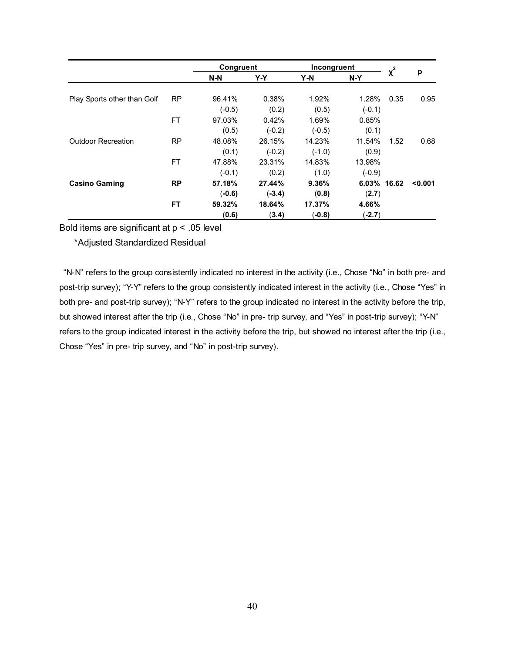|                             |           | Congruent |          | Incongruent |             | $x^2$ |         |
|-----------------------------|-----------|-----------|----------|-------------|-------------|-------|---------|
|                             |           | $N-N$     | Y-Y      | Y-N         | $N-Y$       |       | p       |
| Play Sports other than Golf | <b>RP</b> | 96.41%    | 0.38%    | 1.92%       | 1.28%       | 0.35  | 0.95    |
|                             |           | $(-0.5)$  | (0.2)    | (0.5)       | $(-0.1)$    |       |         |
|                             | <b>FT</b> | 97.03%    | 0.42%    | 1.69%       | 0.85%       |       |         |
|                             |           | (0.5)     | $(-0.2)$ | $(-0.5)$    | (0.1)       |       |         |
| <b>Outdoor Recreation</b>   | <b>RP</b> | 48.08%    | 26.15%   | 14.23%      | 11.54%      | 1.52  | 0.68    |
|                             |           | (0.1)     | $(-0.2)$ | $(-1.0)$    | (0.9)       |       |         |
|                             | <b>FT</b> | 47.88%    | 23.31%   | 14.83%      | 13.98%      |       |         |
|                             |           | $(-0.1)$  | (0.2)    | (1.0)       | $(-0.9)$    |       |         |
| <b>Casino Gaming</b>        | <b>RP</b> | 57.18%    | 27.44%   | 9.36%       | 6.03% 16.62 |       | < 0.001 |
|                             |           | $(-0.6)$  | $(-3.4)$ | (0.8)       | (2.7)       |       |         |
|                             | FT        | 59.32%    | 18.64%   | 17.37%      | 4.66%       |       |         |
|                             |           | (0.6)     | (3.4)    | $(-0.8)$    | $(-2.7)$    |       |         |

Bold items are significant at p < .05 level

\*Adjusted Standardized Residual

"N-N" refers to the group consistently indicated no interest in the activity (i.e., Chose "No" in both pre- and post-trip survey); "Y-Y" refers to the group consistently indicated interest in the activity (i.e., Chose "Yes" in both pre- and post-trip survey); "N-Y" refers to the group indicated no interest in the activity before the trip, but showed interest after the trip (i.e., Chose "No" in pre- trip survey, and "Yes" in post-trip survey); "Y-N" refers to the group indicated interest in the activity before the trip, but showed no interest after the trip (i.e., Chose "Yes" in pre- trip survey, and "No" in post-trip survey).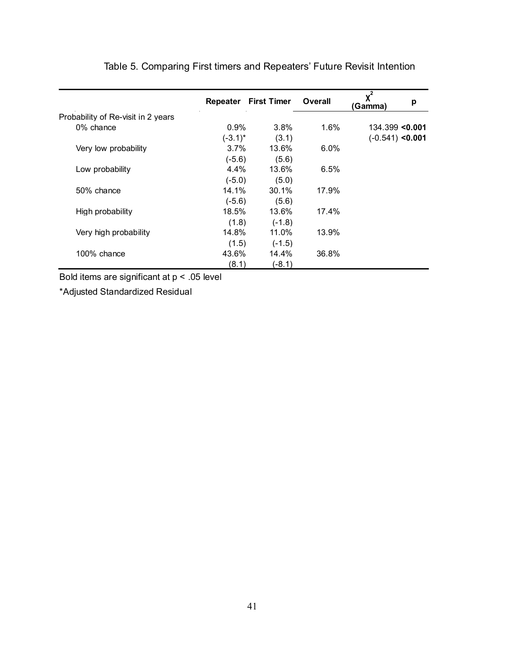|                                    |            | <b>Repeater First Timer</b> | <b>Overall</b> | $x^2$<br>p<br>(Gamma) |
|------------------------------------|------------|-----------------------------|----------------|-----------------------|
| Probability of Re-visit in 2 years |            |                             |                |                       |
| 0% chance                          | $0.9\%$    | $3.8\%$                     | 1.6%           | $134.399$ <0.001      |
|                                    | $(-3.1)^*$ | (3.1)                       |                | $(-0.541)$ <0.001     |
| Very low probability               | $3.7\%$    | 13.6%                       | $6.0\%$        |                       |
|                                    | $(-5.6)$   | (5.6)                       |                |                       |
| Low probability                    | 4.4%       | 13.6%                       | 6.5%           |                       |
|                                    | $(-5.0)$   | (5.0)                       |                |                       |
| 50% chance                         | 14.1%      | 30.1%                       | 17.9%          |                       |
|                                    | $(-5.6)$   | (5.6)                       |                |                       |
| High probability                   | 18.5%      | 13.6%                       | 17.4%          |                       |
|                                    | (1.8)      | $(-1.8)$                    |                |                       |
| Very high probability              | 14.8%      | 11.0%                       | 13.9%          |                       |
|                                    | (1.5)      | $(-1.5)$                    |                |                       |
| 100% chance                        | 43.6%      | 14.4%                       | 36.8%          |                       |
|                                    | (8.1)      | $(-8.1)$                    |                |                       |

Table 5. Comparing First timers and Repeaters' Future Revisit Intention

Bold items are significant at p < .05 level

\*Adjusted Standardized Residual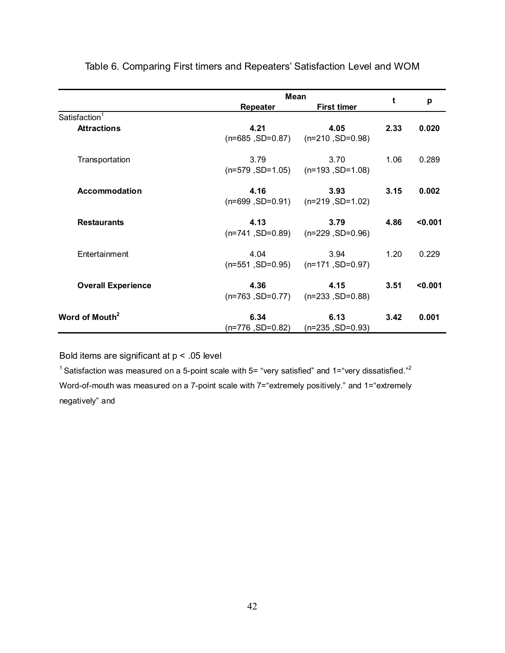|                            |                            | <b>Mean</b>                                   |      |         |
|----------------------------|----------------------------|-----------------------------------------------|------|---------|
|                            | Repeater                   | <b>First timer</b>                            | t    | p       |
| Satisfaction <sup>1</sup>  |                            |                                               |      |         |
| <b>Attractions</b>         | 4.21<br>$(n=685, SD=0.87)$ | 4.05<br>$(n=210, SD=0.98)$                    | 2.33 | 0.020   |
| Transportation             | 3.79<br>$(n=579, SD=1.05)$ | 3.70<br>$(n=193, SD=1.08)$                    | 1.06 | 0.289   |
| <b>Accommodation</b>       | 4.16<br>$(n=699, SD=0.91)$ | 3.93<br>$(n=219, SD=1.02)$                    | 3.15 | 0.002   |
| <b>Restaurants</b>         | 4.13<br>$(n=741, SD=0.89)$ | 3.79<br>$(n=229, SD=0.96)$                    | 4.86 | < 0.001 |
| Entertainment              | 4.04                       | 3.94<br>$(n=551, SD=0.95)$ $(n=171, SD=0.97)$ | 1.20 | 0.229   |
| <b>Overall Experience</b>  | 4.36<br>$(n=763, SD=0.77)$ | 4.15<br>$(n=233, SD=0.88)$                    | 3.51 | < 0.001 |
| Word of Mouth <sup>2</sup> | 6.34<br>$(n=776, SD=0.82)$ | 6.13<br>$(n=235, SD=0.93)$                    | 3.42 | 0.001   |

Table 6. Comparing First timers and Repeaters' Satisfaction Level and WOM

Bold items are significant at p < .05 level

<sup>1</sup> Satisfaction was measured on a 5-point scale with 5= "very satisfied" and 1="very dissatisfied."<sup>2</sup> Word-of-mouth was measured on a 7-point scale with 7="extremely positively." and 1="extremely negatively" and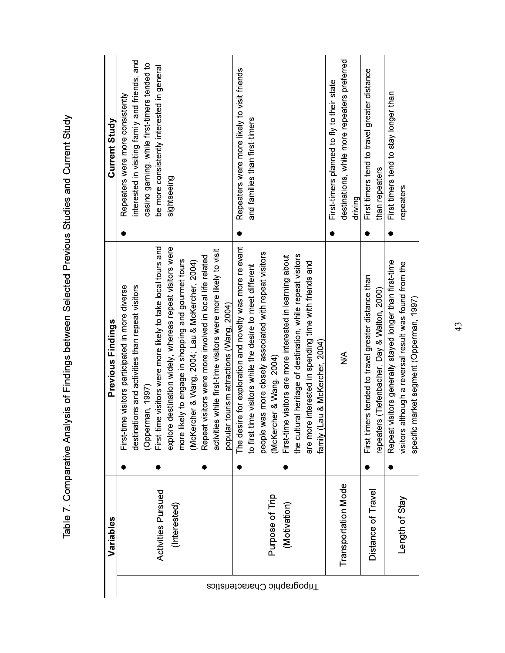|                             | Variables                 | Previous Findings                                                   | Current Study                                  |
|-----------------------------|---------------------------|---------------------------------------------------------------------|------------------------------------------------|
|                             |                           |                                                                     |                                                |
|                             |                           | First-time visitors participated in more diverse                    | Repeaters were more consistently               |
|                             |                           | destinations and activities than repeat visitors                    | interested in visiting family and friends, and |
|                             |                           | (Opperman, 1997)                                                    | casino gaming, while first-timers tended to    |
|                             | <b>Activities Pursued</b> | First-time visitors were more likely to take local tours and        | be more consistently interested in general     |
|                             | (Interested)              | explore destination widely, whereas repeat visitors were            | sightseeing                                    |
|                             |                           | more likely to engage in shopping and gourmet tours                 |                                                |
|                             |                           | (McKercher & Wang, 2004; Lau & McKercher, 2004)                     |                                                |
|                             |                           | Repeat visitors were more involved in local life related            |                                                |
|                             |                           | is while first-time visitors were more likely to visit<br>activitie |                                                |
|                             |                           | popular tourism attractions (Wang, 2004)                            |                                                |
|                             |                           | The desire for exploration and novelty was more relevant            | Repeaters were more likely to visit friends    |
|                             |                           | to first-time visitors while the desire to meet different           | and families than first-timers                 |
|                             |                           | people was more closely associated with repeat visitors             |                                                |
| Enpographic Characteristics | Purpose of Trip           | (McKercher & Wang, 2004)                                            |                                                |
|                             | (Motivation)              | First-time visitors are more interested in learning about           |                                                |
|                             |                           | the cultural heritage of destination, while repeat visitors         |                                                |
|                             |                           | are more interested in spending time with friends and               |                                                |
|                             |                           | -au & McKercher, 2004)<br>family (I                                 |                                                |
|                             |                           |                                                                     | First-timers planned to fly to their state     |
|                             | Transportation Mode       | ⋚                                                                   | destinations, while more repeaters preferred   |
|                             |                           |                                                                     | driving                                        |
|                             | Distance of Travel        | First timers tended to travel greater distance than                 | First timers tend to travel greater distance   |
|                             |                           | repeaters (Tiefenbacher, Day & Walton, 2000)                        | than repeaters                                 |
|                             |                           | visitors generally stayed longer than first-time<br>Repeat          | First timers tend to stay longer than<br>O     |
|                             | Length of Stay            | although a reversal result was found from the<br>visitors           | repeaters                                      |
|                             |                           | market segment (Opperman, 1997)<br>specific                         |                                                |

Table 7. Comparative Analysis of Findings between Selected Previous Studies and Current Study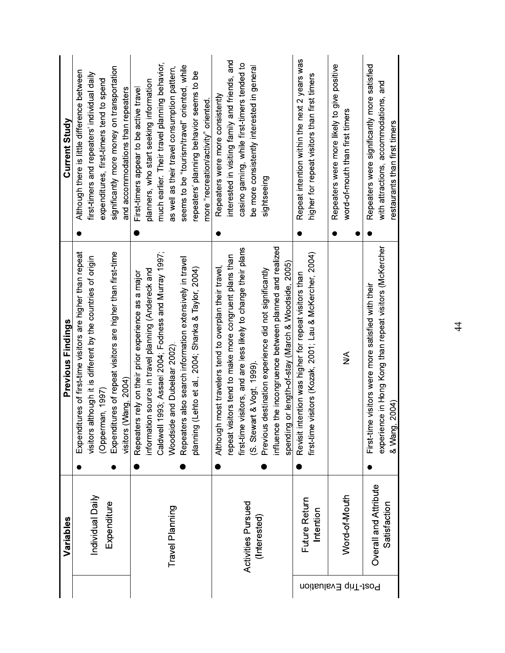| Variables            |                       | Previous Findings                                              |           | Current Study                                  |
|----------------------|-----------------------|----------------------------------------------------------------|-----------|------------------------------------------------|
|                      |                       | es of first-time visitors are higher than repeat<br>Expenditur |           | Although there is little difference between    |
|                      | Individual Daily      | visitors although it is different by the countries of origin   |           | first-timers and repeaters' individual daily   |
|                      |                       | (Opperman, 1997)                                               |           | expenditures, first-timers tend to spend       |
|                      | Expenditure           | Expenditures of repeat visitors are higher than first-time     |           | significantly more money on transportation     |
|                      |                       | visitors (Wang, 2004)                                          |           | and accommodations than repeaters              |
|                      |                       | rely on their prior experience as a major<br>Repeaters         |           | First-timers appear to be active travel        |
|                      |                       | source in travel planning (Andereck and<br>nformation          |           | planners, who start seeking information        |
|                      |                       | Caldwell 1993; Assael 2004; Fodness and Murray 1997;           |           | much earlier. Their travel planning behavior,  |
| Travel Planning      |                       | and Dubelaar 2002)<br>Woodside                                 |           | as well as their travel consumption pattern,   |
|                      |                       | also search information extensively in travel<br>Repeaters     |           | seems to be "tourism/travel" oriented, while   |
|                      |                       | planning (Lehto et al., 2004; Shanka & Taylor, 2004)           |           | repeaters' planning behavior seems to be       |
|                      |                       |                                                                |           | more "recreation/activity" oriented            |
|                      |                       | Although most travelers tend to overplan their travel,         |           | Repeaters were more consistently               |
|                      |                       | repeat visitors tend to make more congruent plans than         |           | interested in visiting family and friends, and |
|                      |                       | first-time visitors, and are less likely to change their plans |           | casino gaming, while first-timers tended to    |
| Activities Pursued   |                       | (S. Stewart & Vogt, 1999)                                      |           | be more consistently interested in general     |
| (Interested)         |                       | Previous destination experience did not significantly          |           | sightseeing                                    |
|                      |                       | influence the incongruence between planned and realized        |           |                                                |
|                      |                       | spending or length-of-stay (March & Woodside, 2005)            |           |                                                |
|                      | Future Return         | Revisit intention was higher for repeat visitors than          |           | Repeat intention within the next 2 years was   |
|                      | Intention             | first-time visitors (Kozak, 2001; Lau & McKercher, 2004)       |           | higher for repeat visitors than first timers   |
|                      |                       |                                                                | $\bullet$ | Repeaters were more likely to give positive    |
| Post-Trip Evaluation | Word-of-Mouth         | ⋚                                                              | $\bullet$ | word-of-mouth than first timers                |
|                      | Overall and Attribute | visitors were more satisfied with their<br>First time          |           | Repeaters were significantly more satisfied    |
|                      | Satisfaction          | experience in Hong Kong than repeat visitors (McKercher        |           | with attractions, accommodations, and          |
|                      |                       | <u>&amp; Wang, 2004)</u>                                       |           | restaurants than first timers                  |